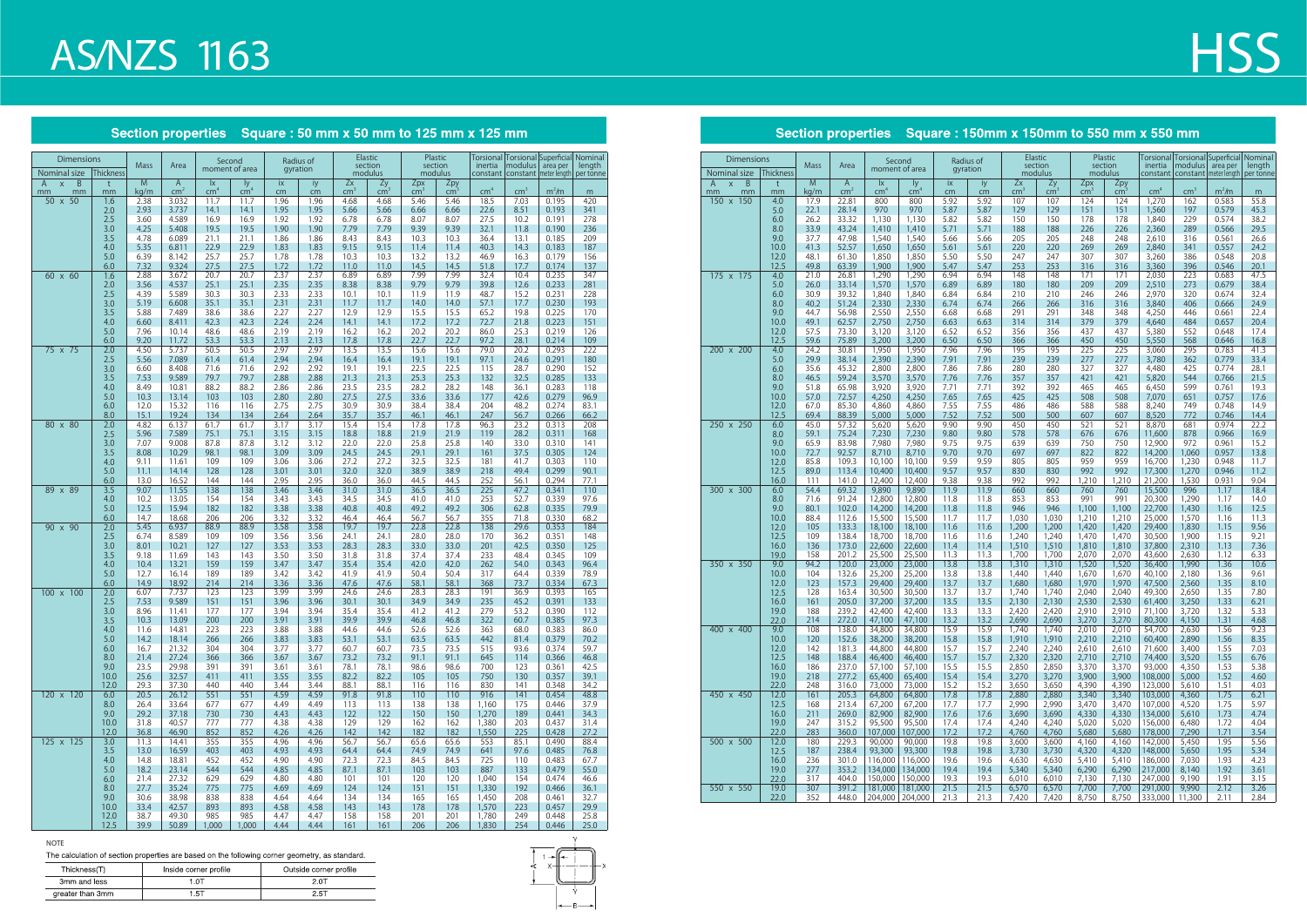## **AS/NZS 1163**

### Section properties Square : 50 mm x 50 mm to 125 mm x 125 mm

#### **NOTE**

The calculation of section properties are based on the following corner geometry, as standard.

| Thickness(T)     | Inside corner profile | Outside corner profile |
|------------------|-----------------------|------------------------|
| 3mm and less     | .OT                   |                        |
| greater than 3mm | .51                   | 2.5T                   |



| <b>Dimensions</b>                   |            | <b>Mass</b>  | Area                            |                                            | Second<br>moment of area |              | Radius of    |                       | Elastic<br>section  | section                | Plastic                | inertia         | Torsional Torsional Superficial Nominal<br>modulus | area per          | length       |
|-------------------------------------|------------|--------------|---------------------------------|--------------------------------------------|--------------------------|--------------|--------------|-----------------------|---------------------|------------------------|------------------------|-----------------|----------------------------------------------------|-------------------|--------------|
| Nominal size<br>$\overline{B}$<br>A | Thickness  | M            |                                 |                                            |                          |              | gyration     |                       | modulus             |                        | modulus                |                 | constant   constant   meter length                 |                   | per tonne    |
| $\mathsf X$<br>mm<br>mm             | t<br>mm    | kg/m         | $\mathsf{A}$<br>cm <sup>2</sup> | $\mathsf{I} \mathsf{X}$<br>cm <sup>4</sup> | ly.<br>cm <sup>4</sup>   | ix<br>cm     | iy<br>cm     | Zx<br>cm <sup>2</sup> | Zy<br>$\text{cm}^3$ | Zpx<br>$\mathsf{cm}^3$ | Zpy<br>cm <sup>3</sup> | cm <sup>4</sup> | $\text{cm}^3$                                      | m <sup>2</sup> /m | m            |
| 50 x 50                             | 1.6        | 2.38         | 3.032                           | 11.7                                       | 11.7                     | 1.96         | 1.96         | 4.68                  | 4.68                | 5.46                   | 5.46                   | 18.5            | 7.03                                               | 0.195             | 420          |
|                                     | 2.0<br>2.5 | 2.93<br>3.60 | 3.737<br>4.589                  | 14.1<br>16.9                               | 14.1<br>16.9             | 1.95<br>1.92 | 1.95<br>1.92 | 5.66<br>6.78          | 5.66<br>6.78        | 6.66<br>8.07           | 6.66<br>8.07           | 22.6<br>27.5    | 8.51<br>10.2                                       | 0.193<br>0.191    | 341<br>278   |
|                                     | 3.0        | 4.25         | 5.408                           | 19.5                                       | 19.5                     | 1.90         | 1.90         | 7.79                  | 7.79                | 9.39                   | 9.39                   | 32.1            | 11.8                                               | 0.190             | 236          |
|                                     | 3.5        | 4.78         | 6.089                           | 21.1                                       | 21.1                     | 1.86         | 1.86         | 8.43                  | 8.43                | 10.3                   | 10.3                   | 36.4            | 13.1                                               | 0.185             | 209          |
|                                     | 4.0<br>5.0 | 5.35<br>6.39 | 6.811<br>8.142                  | 22.9<br>25.7                               | 22.9<br>25.7             | 1.83<br>1.78 | 1.83<br>1.78 | 9.15<br>10.3          | 9.15<br>10.3        | 11.4<br>13.2           | 11.4<br>13.2           | 40.3<br>46.9    | 14.3<br>16.3                                       | 0.183<br>0.179    | 187<br>156   |
|                                     | 6.0        | 7.32         | 9.324                           | 27.5                                       | 27.5                     | 1.72         | 1.72         | 11.0                  | 11.0                | 14.5                   | 14.5                   | 51.8            | 17.7                                               | 0.174             | 137          |
| $60 \times 60$                      | 1.6        | 2.88         | 3.672                           | 20.7                                       | 20.7                     | 2.37         | 2.37         | 6.89                  | 6.89                | 7.99                   | 7.99                   | 32.4            | 10.4                                               | 0.235             | 347          |
|                                     | 2.0        | 3.56         | 4.537                           | 25.1                                       | 25.1                     | 2.35         | 2.35         | 8.38                  | 8.38                | 9.79                   | 9.79                   | 39.8            | 12.6                                               | 0.233             | 281          |
|                                     | 2.5<br>3.0 | 4.39<br>5.19 | 5.589<br>6.608                  | 30.3<br>35.1                               | 30.3<br>35.1             | 2.33<br>2.31 | 2.33<br>2.31 | 10.1<br>11.7          | 10.1<br>11.7        | 11.9<br>14.0           | 11.9<br>14.0           | 48.7<br>57.1    | 15.2<br>17.7                                       | 0.231<br>0.230    | 228<br>193   |
|                                     | 3.5        | 5.88         | 7.489                           | 38.6                                       | 38.6                     | 2.27         | 2.27         | 12.9                  | 12.9                | 15.5                   | 15.5                   | 65.2            | 19.8                                               | 0.225             | 170          |
|                                     | 4.0        | 6.60         | 8.411                           | 42.3                                       | 42.3                     | 2.24         | 2.24         | 14.1                  | 14.1                | 17.2                   | 17.2                   | 72.7            | 21.8                                               | 0.223             | 151          |
|                                     | 5.0<br>6.0 | 7.96<br>9.20 | 10.14<br>11.72                  | 48.6<br>53.3                               | 48.6<br>53.3             | 2.19<br>2.13 | 2.19<br>2.13 | 16.2<br>17.8          | 16.2<br>17.8        | 20.2<br>22.7           | 20.2<br>22.7           | 86.0<br>97.2    | 25.3<br>28.1                                       | 0.219<br>0.214    | 126<br>109   |
| $75 \times 75$                      | 2.0        | 4.50         | 5.737                           | 50.5                                       | 50.5                     | 2.97         | 2.97         | 13.5                  | 13.5                | 15.6                   | 15.6                   | 79.0            | 20.2                                               | 0.293             | 222          |
|                                     | 2.5        | 5.56         | 7.089                           | 61.4                                       | 61.4                     | 2.94         | 2.94         | 16.4                  | 16.4                | 19.1                   | 19.1                   | 97.1            | 24.6                                               | 0.291             | 180          |
|                                     | 3.0<br>3.5 | 6.60         | 8.408                           | 71.6                                       | 71.6                     | 2.92         | 2.92         | 19.1                  | 19.1                | 22.5                   | 22.5                   | 115             | 28.7                                               | 0.290             | 152          |
|                                     | 4.0        | 7.53<br>8.49 | 9.589<br>10.81                  | 79.7<br>88.2                               | 79.7<br>88.2             | 2.88<br>2.86 | 2.88<br>2.86 | 21.3<br>23.5          | 21.3<br>23.5        | 25.3<br>28.2           | 25.3<br>28.2           | 132<br>148      | 32.5<br>36.1                                       | 0.285<br>0.283    | 133<br>118   |
|                                     | 5.0        | 10.3         | 13.14                           | 103                                        | 103                      | 2.80         | 2.80         | 27.5                  | 27.5                | 33.6                   | 33.6                   | 177             | 42.6                                               | 0.279             | 96.9         |
|                                     | 6.0        | 12.0         | 15.32                           | 116                                        | 116                      | 2.75         | 2.75         | 30.9                  | 30.9                | 38.4                   | 38.4                   | 204             | 48.2                                               | 0.274             | 83.1         |
| 80 x 80                             | 8.0<br>2.0 | 15.1<br>4.82 | 19.24<br>6.137                  | 134<br>61.7                                | 134<br>61.7              | 2.64<br>3.17 | 2.64<br>3.17 | 35.7<br>15.4          | 35.7<br>15.4        | 46.1<br>17.8           | 46.1<br>17.8           | 247<br>96.3     | 56.7<br>23.2                                       | 0.266<br>0.313    | 66.2<br>208  |
|                                     | 2.5        | 5.96         | 7.589                           | 75.1                                       | 75.1                     | 3.15         | 3.15         | 18.8                  | 18.8                | 21.9                   | 21.9                   | 119             | 28.2                                               | 0.311             | 168          |
|                                     | 3.0        | 7.07         | 9.008                           | 87.8                                       | 87.8                     | 3.12         | 3.12         | 22.0                  | 22.0                | 25.8                   | 25.8                   | 140             | 33.0                                               | 0.310             | 141          |
|                                     | 3.5        | 8.08         | 10.29                           | 98.1                                       | 98.1                     | 3.09         | 3.09         | 24.5                  | 24.5                | 29.1                   | 29.1                   | 161             | 37.5                                               | 0.305             | 124          |
|                                     | 4.0<br>5.0 | 9.11<br>11.1 | 11.61<br>14.14                  | 109<br>128                                 | 109<br>128               | 3.06<br>3.01 | 3.06<br>3.01 | 27.2<br>32.0          | 27.2<br>32.0        | 32.5<br>38.9           | 32.5<br>38.9           | 181<br>218      | 41.7<br>49.4                                       | 0.303<br>0.299    | 110<br>90.1  |
|                                     | 6.0        | 13.0         | 16.52                           | 144                                        | 144                      | 2.95         | 2.95         | 36.0                  | 36.0                | 44.5                   | 44.5                   | 252             | 56.1                                               | 0.294             | 77.1         |
| 89 x 89                             | 3.5        | 9.07         | 11.55                           | 138                                        | 138                      | 3.46         | 3.46         | 31.0                  | 31.0                | 36.5                   | 36.5                   | 225             | 47.2                                               | 0.341             | 110          |
|                                     | 4.0<br>5.0 | 10.2<br>12.5 | 13.05<br>15.94                  | 154<br>182                                 | 154<br>182               | 3.43<br>3.38 | 3.43<br>3.38 | 34.5<br>40.8          | 34.5<br>40.8        | 41.0<br>49.2           | 41.0<br>49.2           | 253<br>306      | 52.7<br>62.8                                       | 0.339<br>0.335    | 97.6<br>79.9 |
|                                     | 6.0        | 14.7         | 18.68                           | 206                                        | 206                      | 3.32         | 3.32         | 46.4                  | 46.4                | 56.7                   | 56.7                   | 355             | 71.8                                               | 0.330             | 68.2         |
| $90 \times 90$                      | 2.0        | 5.45         | 6.937                           | 88.9                                       | 88.9                     | 3.58         | 3.58         | 19.7                  | 19.7                | 22.8                   | 22.8                   | 138             | 29.6                                               | 0.353             | 184          |
|                                     | 2.5<br>3.0 | 6.74<br>8.01 | 8.589<br>10.21                  | 109<br>127                                 | 109<br>127               | 3.56<br>3.53 | 3.56<br>3.53 | 24.1<br>28.3          | 24.1<br>28.3        | 28.0<br>33.0           | 28.0<br>33.0           | 170<br>201      | 36.2<br>42.5                                       | 0.351<br>0.350    | 148<br>125   |
|                                     | 3.5        | 9.18         | 11.69                           | 143                                        | 143                      | 3.50         | 3.50         | 31.8                  | 31.8                | 37.4                   | 37.4                   | 233             | 48.4                                               | 0.345             | 109          |
|                                     | 4.0        | 10.4         | 13.21                           | 159                                        | 159                      | 3.47         | 3.47         | 35.4                  | 35.4                | 42.0                   | 42.0                   | 262             | 54.0                                               | 0.343             | 96.4         |
|                                     | 5.0        | 12.7         | 16.14                           | 189                                        | 189                      | 3.42         | 3.42         | 41.9                  | 41.9                | 50.4                   | 50.4                   | 317             | 64.4                                               | 0.339             | 78.9         |
| 100 x 100                           | 6.0<br>2.0 | 14.9<br>6.07 | 18.92<br>7.737                  | 214<br>123                                 | 214<br>123               | 3.36<br>3.99 | 3.36<br>3.99 | 47.6<br>24.6          | 47.6<br>24.6        | 58.1<br>28.3           | 58.1<br>28.3           | 368<br>191      | 73.7<br>36.9                                       | 0.334<br>0.393    | 67.3<br>165  |
|                                     | 2.5        | 7.53         | 9.589                           | 151                                        | 151                      | 3.96         | 3.96         | 30.1                  | 30.1                | 34.9                   | 34.9                   | 235             | 45.2                                               | 0.391             | 133          |
|                                     | 3.0        | 8.96         | 11.41                           | 177                                        | 177                      | 3.94         | 3.94         | 35.4                  | 35.4                | 41.2                   | 41.2                   | 279             | 53.2                                               | 0.390             | 112          |
|                                     | 3.5<br>4.0 | 10.3<br>11.6 | 13.09<br>14.81                  | 200<br>223                                 | 200<br>223               | 3.91<br>3.88 | 3.91<br>3.88 | 39.9<br>44.6          | 39.9<br>44.6        | 46.8<br>52.6           | 46.8<br>52.6           | 322<br>363      | 60.7<br>68.0                                       | 0.385<br>0.383    | 97.3<br>86.0 |
|                                     | 5.0        | 14.2         | 18.14                           | 266                                        | 266                      | 3.83         | 3.83         | 53.1                  | 53.1                | 63.5                   | 63.5                   | 442             | 81.4                                               | 0.379             | 70.2         |
|                                     | 6.0        | 16.7         | 21.32                           | 304                                        | 304                      | 3.77         | 3.77         | 60.7                  | 60.7                | 73.5                   | 73.5                   | 515             | 93.6                                               | 0.374             | 59.7         |
|                                     | 8.0<br>9.0 | 21.4<br>23.5 | 27.24<br>29.98                  | 366<br>391                                 | 366<br>391               | 3.67<br>3.61 | 3.67<br>3.61 | 73.2<br>78.1          | 73.2<br>78.1        | 91.1<br>98.6           | 91.1<br>98.6           | 645<br>700      | 114<br>123                                         | 0.366<br>0.361    | 46.8<br>42.5 |
|                                     | 10.0       | 25.6         | 32.57                           | 411                                        | 411                      | 3.55         | 3.55         | 82.2                  | 82.2                | 105                    | 105                    | 750             | 130                                                | 0.357             | 39.1         |
|                                     | 12.0       | 29.3         | 37.30                           | 440                                        | 440                      | 3.44         | 3.44         | 88.1                  | 88.1                | 116                    | 116                    | 830             | 141                                                | 0.348             | 34.2         |
| $120 \times 120$                    | 6.0        | 20.5<br>26.4 | 26.12<br>33.64                  | 551                                        | 551                      | 4.59         | 4.59         | 91.8                  | 91.8                | 110                    | 110                    | 916             | 141                                                | 0.454             | 48.8         |
|                                     | 8.0<br>9.0 | 29.2         | 37.18                           | 677<br>730                                 | 677<br>730               | 4.49<br>4.43 | 4.49<br>4.43 | 113<br>122            | 113<br>122          | 138<br>150             | 138<br>150             | 1,160<br>1,270  | 175<br>189                                         | 0.446<br>0.441    | 37.9<br>34.3 |
|                                     | 10.0       | 31.8         | 40.57                           | 777                                        | 777                      | 4.38         | 4.38         | 129                   | 129                 | 162                    | 162                    | 1,380           | 203                                                | 0.437             | 31.4         |
|                                     | 12.0       | 36.8         | 46.90                           | 852                                        | 852                      | 4.26         | 4.26         | 142                   | 142                 | 182                    | 182                    | 1,550           | 225                                                | 0.428             | 27.2         |
| $125 \times 125$                    | 3.0<br>3.5 | 11.3<br>13.0 | 14.41<br>16.59                  | 355<br>403                                 | 355<br>403               | 4.96<br>4.93 | 4.96<br>4.93 | 56.7<br>64.4          | 56.7<br>64.4        | 65.6<br>74.9           | 65.6<br>74.9           | 553<br>641      | 85.1<br>97.6                                       | 0.490<br>0.485    | 88.4<br>76.8 |
|                                     | 4.0        | 14.8         | 18.81                           | 452                                        | 452                      | 4.90         | 4.90         | 72.3                  | 72.3                | 84.5                   | 84.5                   | 725             | 110                                                | 0.483             | 67.7         |
|                                     | 5.0        | 18.2         | 23.14                           | 544                                        | 544                      | 4.85         | 4.85         | 87.1                  | 87.1                | 103                    | 103                    | 887             | 133                                                | 0.479             | 55.0         |
|                                     | 6.0        | 21.4         | 27.32                           | 629                                        | 629                      | 4.80         | 4.80         | 101                   | 101                 | 120                    | 120                    | 1,040           | 154                                                | 0.474             | 46.6         |
|                                     | 8.0<br>9.0 | 27.7<br>30.6 | 35.24<br>38.98                  | 775<br>838                                 | 775<br>838               | 4.69<br>4.64 | 4.69<br>4.64 | 124<br>134            | 124<br>134          | 151<br>165             | 151<br>165             | 1,330<br>1,450  | 192<br>208                                         | 0.466<br>0.461    | 36.1<br>32.7 |
|                                     | 10.0       | 33.4         | 42.57                           | 893                                        | 893                      | 4.58         | 4.58         | 143                   | 143                 | 178                    | 178                    | 1,570           | 223                                                | 0.457             | 29.9         |
|                                     | 12.0       | 38.7         | 49.30                           | 985                                        | 985                      | 4.47         | 4.47         | 158                   | 158                 | 201                    | 201                    | 1,780           | 249                                                | 0.448             | 25.8         |
|                                     | 12.5       | 39.9         | 50.89                           | 1,000                                      | 1,000                    | 4.44         | 4.44         | 161                   | 161                 | 206                    | 206                    | 1,830           | 254                                                | 0.446             | 25.0         |

# **HSS**

### Section properties Square: 150mm x 150mm to 550 mm x 550 mm

| section<br>section<br>moment of area<br>gyration<br>Nominal size<br><b>Thickness</b><br>modulus<br>modulus<br>constant<br>constant   meter length<br>$\overline{M}$<br>B<br>$\mathsf{A}$<br>$\mathsf{A}$<br>ly<br>$\mathsf{X}$<br>t<br>iy<br>Zx<br>Zy<br>Zpx<br>$\mathsf{I} \mathsf{X}$<br>ix<br>Zpy<br>$\text{cm}^4$<br>cm <sup>4</sup><br>cm <sup>3</sup><br>$\text{cm}^3$<br>$m2$ /m<br>mm<br>kg/m<br>cm <sup>2</sup><br>cm <sup>4</sup><br>cm<br>cm<br>cm <sup>3</sup><br>$\text{cm}^3$<br>$\text{cm}^3$<br>mm<br>mm<br>m<br>5.92<br>55.8<br>150 x 150<br>4.0<br>17.9<br>22.81<br>800<br>800<br>5.92<br>107<br>107<br>124<br>124<br>1,270<br>162<br>0.583<br>5.0<br>28.14<br>970<br>970<br>5.87<br>5.87<br>129<br>129<br>151<br>151<br>1,560<br>197<br>0.579<br>45.3<br>22.1<br>26.2<br>33.32<br>1,130<br>5.82<br>5.82<br>150<br>150<br>1,840<br>229<br>0.574<br>38.2<br>6.0<br>1,130<br>178<br>178<br>8.0<br>33.9<br>43.24<br>5.71<br>5.71<br>188<br>188<br>226<br>226<br>2,360<br>289<br>29.5<br>1,410<br>1,410<br>0.566<br>9.0<br>37.7<br>47.98<br>1,540<br>1,540<br>5.66<br>5.66<br>205<br>205<br>248<br>248<br>2,610<br>316<br>0.561<br>26.6<br>41.3<br>52.57<br>1,650<br>1,650<br>5.61<br>5.61<br>220<br>220<br>269<br>269<br>2,840<br>341<br>0.557<br>24.2<br>10.0<br>12.0<br>5.50<br>5.50<br>247<br>247<br>307<br>307<br>3,260<br>386<br>0.548<br>20.8<br>48.1<br>61.30<br>1,850<br>1,850<br>12.5<br>49.8<br>63.39<br>1,900<br>1,900<br>5.47<br>5.47<br>253<br>253<br>316<br>316<br>3,360<br>396<br>0.546<br>20.1<br>$175 \times 175$<br>4.0<br>21.0<br>1,290<br>1,290<br>6.94<br>6.94<br>148<br>171<br>2,030<br>223<br>0.683<br>47.5<br>26.81<br>148<br>171<br>5.0<br>1,570<br>6.89<br>180<br>209<br>209<br>2,510<br>273<br>0.679<br>38.4<br>26.0<br>33.14<br>1,570<br>6.89<br>180<br>6.0<br>30.9<br>39.32<br>1,840<br>1,840<br>6.84<br>210<br>210<br>246<br>246<br>2,970<br>320<br>32.4<br>6.84<br>0.674<br>8.0<br>40.2<br>2,330<br>2,330<br>316<br>3,840<br>406<br>51.24<br>6.74<br>6.74<br>266<br>266<br>316<br>0.666<br>24.9<br>9.0<br>291<br>291<br>348<br>22.4<br>44.7<br>56.98<br>2,550<br>2,550<br>6.68<br>6.68<br>348<br>4,250<br>446<br>0.661<br>10.0<br>49.1<br>62.57<br>2,750<br>6.63<br>314<br>314<br>379<br>379<br>4,640<br>484<br>0.657<br>20.4<br>2,750<br>6.63<br>12.0<br>57.5<br>73.30<br>3,120<br>3,120<br>6.52<br>356<br>356<br>437<br>437<br>5,380<br>552<br>17.4<br>6.52<br>0.648<br>12.5<br>59.6<br>75.89<br>3,200<br>3,200<br>6.50<br>6.50<br>366<br>450<br>450<br>5,550<br>568<br>0.646<br>16.8<br>366<br>200 x 200<br>4.0<br>24.2<br>30.81<br>1,950<br>1,950<br>7.96<br>7.96<br>195<br>195<br>225<br>225<br>295<br>0.783<br>41.3<br>3,060<br>5.0<br>29.9<br>2,390<br>7.91<br>7.91<br>239<br>239<br>33.4<br>38.14<br>2,390<br>277<br>277<br>3,780<br>362<br>0.779<br>280<br>425<br>6.0<br>35.6<br>45.32<br>2,800<br>2,800<br>7.86<br>7.86<br>280<br>327<br>327<br>4,480<br>0.774<br>28.1<br>357<br>8.0<br>46.5<br>59.24<br>3,570<br>3,570<br>7.76<br>7.76<br>357<br>421<br>421<br>5,820<br>544<br>0.766<br>21.5<br>9.0<br>51.8<br>65.98<br>3,920<br>3,920<br>7.71<br>7.71<br>392<br>392<br>465<br>465<br>6,450<br>599<br>0.761<br>19.3<br>4,250<br>7.65<br>7.65<br>425<br>425<br>508<br>508<br>7,070<br>0.757<br>17.6<br>10.0<br>57.0<br>72.57<br>4,250<br>651<br>67.0<br>85.30<br>7.55<br>7.55<br>486<br>486<br>588<br>588<br>8,240<br>14.9<br>12.0<br>4,860<br>4,860<br>749<br>0.748<br>12.5<br>69.4<br>88.39<br>5,000<br>5,000<br>7.52<br>7.52<br>500<br>500<br>607<br>607<br>8,520<br>772<br>0.746<br>14.4<br>250 x 250<br>45.0<br>57.32<br>9.90<br>9.90<br>450<br>450<br>521<br>521<br>8,870<br>681<br>0.974<br>22.2<br>6.0<br>5,620<br>5,620<br>8.0<br>59.1<br>75.24<br>7,230<br>9.80<br>9.80<br>578<br>578<br>676<br>676<br>878<br>0.966<br>16.9<br>7,230<br>11,600<br>9.0<br>65.9<br>83.98<br>7,980<br>7,980<br>9.75<br>9.75<br>639<br>639<br>750<br>750<br>12,900<br>972<br>0.961<br>15.2<br>72.7<br>92.57<br>9.70<br>9.70<br>822<br>822<br>14,200<br>13.8<br>8,710<br>8,710<br>697<br>697<br>1,060<br>0.957<br>10.0<br>12.0<br>85.8<br>109.3<br>9.59<br>9.59<br>805<br>959<br>959<br>16,700<br>1,230<br>0.948<br>11.7<br>10,100<br>10,100<br>805<br>12.5<br>89.0<br>9.57<br>9.57<br>830<br>992<br>992<br>17,300<br>11.2<br>113.4<br>10,400<br>10,400<br>830<br>1,270<br>0.946<br>16.0<br>9.38<br>992<br>992<br>9.04<br>141.0<br>12,400<br>12,400<br>9.38<br>1,210<br>1,210<br>21,200<br>1,530<br>0.931<br>111<br>300 x 300<br>6.0<br>54.4<br>69.32<br>9,890<br>9,890<br>11.9<br>11.9<br>660<br>660<br>760<br>760<br>15,500<br>996<br>1.17<br>18.4<br>8.0<br>91.24<br>12,800<br>853<br>853<br>991<br>991<br>20,300<br>1,290<br>14.0<br>71.6<br>12,800<br>11.8<br>11.8<br>1.17<br>14,200<br>946<br>946<br>22,700<br>12.5<br>9.0<br>80.1<br>102.0<br>14,200<br>11.8<br>11.8<br>1,100<br>1,100<br>1,430<br>1.16<br>88.4<br>15,500<br>15,500<br>11.7<br>11.7<br>1,030<br>1,210<br>1,210<br>25,000<br>1,570<br>11.3<br>10.0<br>112.6<br>1,030<br>1.16<br>12.0<br>133.3<br>1,200<br>1,420<br>29,400<br>9.56<br>105<br>18,100<br>18,100<br>11.6<br>11.6<br>1,200<br>1,420<br>1,830<br>1.15<br>9.21<br>12.5<br>109<br>138.4<br>18,700<br>18,700<br>11.6<br>11.6<br>1,240<br>1,240<br>1,470<br>1,470<br>30,500<br>1,900<br>1.15<br>16.0<br>136<br>173.0<br>22,600<br>1,510<br>1,810<br>37,800<br>2,310<br>1.13<br>7.36<br>22,600<br>11.4<br>11.4<br>1,510<br>1,810<br>19.0<br>158<br>201.2<br>25,500<br>25,500<br>11.3<br>11.3<br>1,700<br>2,070<br>2,070<br>43,600<br>2,630<br>1.12<br>6.33<br>1,700<br>9.0<br>350 x 350<br>94.2<br>120.0<br>13.8<br>13.8<br>1,990<br>23,000<br>23,000<br>1,310<br>1,310<br>1,520<br>1,520<br>36,400<br>1.36<br>10.6<br>10.0<br>132.6<br>25,200<br>25,200<br>13.8<br>1,440<br>1,670<br>1.36<br>9.61<br>104<br>13.8<br>1,440<br>1,670<br>40,100<br>2,180<br>123<br>157.3<br>29,400<br>13.7<br>13.7<br>1,970<br>1,970<br>1.35<br>8.10<br>12.0<br>29,400<br>1,680<br>1,680<br>47,500<br>2,560<br>13.7<br>7.80<br>12.5<br>128<br>163.4<br>30,500<br>30,500<br>13.7<br>1,740<br>1,740<br>2,040<br>2,040<br>49,300<br>2,650<br>1.35<br>16.0<br>161<br>205.0<br>37,200<br>13.5<br>13.5<br>2,130<br>2,530<br>3,250<br>1.33<br>6.21<br>37,200<br>2,130<br>2,530<br>61,400<br>19.0<br>188<br>239.2<br>42,400<br>13.3<br>13.3<br>2,420<br>2,910<br>1.32<br>5.33<br>42,400<br>2,420<br>2,910<br>71,100<br>3,720<br>22.0<br>214<br>272.0<br>13.2<br>13.2<br>3,270<br>1.31<br>47,100<br>47,100<br>2,690<br>2,690<br>3,270<br>80,300<br>4,150<br>4.68<br>9.0<br>108<br>138.0<br>34,800<br>34,800<br>15.9<br>15.9<br>1,740<br>1,740<br>2,010<br>2,010<br>54,700<br>2,630<br>1.56<br>9.23<br>400 x 400<br>38,200<br>38,200<br>15.8<br>2,210<br>60,400<br>8.35<br>10.0<br>120<br>152.6<br>15.8<br>1,910<br>1,910<br>2,210<br>2,890<br>1.56<br>12.0<br>142<br>181.3<br>44,800<br>44,800<br>15.7<br>15.7<br>2,240<br>2,240<br>2,610<br>2,610<br>71,600<br>3,400<br>1.55<br>7.03<br>2,320<br>2,320<br>12.5<br>148<br>188.4<br>46,400<br>46,400<br>15.7<br>15.7<br>2,710<br>2,710<br>74,400<br>3,520<br>1.55<br>6.76<br>16.0<br>186<br>237.0<br>15.5<br>15.5<br>2,850<br>2,850<br>3,370<br>93,000<br>4,350<br>1.53<br>57,100<br>57,100<br>3,370<br>5.38<br>218<br>277.2<br>65,400<br>15.4<br>3,270<br>108,000<br>1.52<br>19.0<br>65,400<br>15.4<br>3,270<br>3,900<br>3,900<br>5,000<br>4.60<br>22.0<br>3,650<br>123,000<br>1.51<br>248<br>316.0<br>73,000<br>73,000<br>15.2<br>15.2<br>3,650<br>4,390<br>4,390<br>5,610<br>4.03<br>450 x 450<br>12.0<br>205.3<br>17.8<br>3,340<br>103,000<br>1.75<br>161<br>64,800<br>64,800<br>17.8<br>2,880<br>2,880<br>3,340<br>4,360<br>6.21<br>12.5<br>107,000<br>168<br>213.4<br>67,200<br>67,200<br>17.7<br>17.7<br>2,990<br>2,990<br>3,470<br>3,470<br>4,520<br>1.75<br>5.97<br>3,690<br>134,000<br>4.74<br>16.0<br>211<br>269.0<br>82,900<br>82,900<br>17.6<br>17.6<br>3,690<br>4,330<br>4,330<br>5,610<br>1.73<br>95,500<br>4,240<br>4,240<br>4.04<br>19.0<br>247<br>315.2<br>95,500<br>17.4<br>17.4<br>5,020<br>5,020<br>156,000<br>6,480<br>1.72<br>22.0<br>283<br>360.0<br>107,000<br>107,000<br>17.2<br>17.2<br>4,760<br>4,760<br>5,680<br>178,000<br>1.71<br>3.54<br>5,680<br>7,290<br>500 x 500<br>12.0<br>19.8<br>1.95<br>180<br>229.3<br>90,000<br>90,000<br>19.8<br>3,600<br>3,600<br>142,000<br>5,450<br>5.56<br>4,160<br>4,160<br>12.5<br>93,300<br>93,300<br>148,000<br>187<br>238.4<br>19.8<br>19.8<br>3,730<br>3,730<br>4,320<br>4,320<br>5,650<br>1.95<br>5.34<br>16.0<br>186,000<br>236<br>301.0<br>116,000<br>116,000<br>19.6<br>19.6<br>4,630<br>4,630<br>5,410<br>7,030<br>1.93<br>4.23<br>5,410<br>19.0<br>277<br>134,000<br>19.4<br>19.4<br>5,340<br>1.92<br>3.61<br>353.2<br>134,000<br>5,340<br>6,290<br>6,290<br>217,000<br>8,140<br>22.0<br>150,000<br>247,000<br>317<br>404.0<br>150,000<br>19.3<br>19.3<br>6,010<br>7,130<br>9,190<br>1.91<br>3.15<br>6,010<br>7,130<br>550 x 550<br>19.0<br>307<br>21.5<br>391.2<br>181,000   181,000<br>21.5<br>6,570<br>6,570<br>7,700<br>7,700<br>291,000<br>9,990<br>2.12<br>3.26<br>22.0<br>352<br>448.0<br>204,000   204,000<br>21.3<br>21.3<br>7,420<br>7,420<br>8,750<br>8,750<br>333,000<br>11,300<br>2.11<br>2.84 | <b>Dimensions</b> |             |      | Second | Radius of | Elastic | Plastic |         | Torsional   Torsional   Superficial |          | Nominal             |
|------------------------------------------------------------------------------------------------------------------------------------------------------------------------------------------------------------------------------------------------------------------------------------------------------------------------------------------------------------------------------------------------------------------------------------------------------------------------------------------------------------------------------------------------------------------------------------------------------------------------------------------------------------------------------------------------------------------------------------------------------------------------------------------------------------------------------------------------------------------------------------------------------------------------------------------------------------------------------------------------------------------------------------------------------------------------------------------------------------------------------------------------------------------------------------------------------------------------------------------------------------------------------------------------------------------------------------------------------------------------------------------------------------------------------------------------------------------------------------------------------------------------------------------------------------------------------------------------------------------------------------------------------------------------------------------------------------------------------------------------------------------------------------------------------------------------------------------------------------------------------------------------------------------------------------------------------------------------------------------------------------------------------------------------------------------------------------------------------------------------------------------------------------------------------------------------------------------------------------------------------------------------------------------------------------------------------------------------------------------------------------------------------------------------------------------------------------------------------------------------------------------------------------------------------------------------------------------------------------------------------------------------------------------------------------------------------------------------------------------------------------------------------------------------------------------------------------------------------------------------------------------------------------------------------------------------------------------------------------------------------------------------------------------------------------------------------------------------------------------------------------------------------------------------------------------------------------------------------------------------------------------------------------------------------------------------------------------------------------------------------------------------------------------------------------------------------------------------------------------------------------------------------------------------------------------------------------------------------------------------------------------------------------------------------------------------------------------------------------------------------------------------------------------------------------------------------------------------------------------------------------------------------------------------------------------------------------------------------------------------------------------------------------------------------------------------------------------------------------------------------------------------------------------------------------------------------------------------------------------------------------------------------------------------------------------------------------------------------------------------------------------------------------------------------------------------------------------------------------------------------------------------------------------------------------------------------------------------------------------------------------------------------------------------------------------------------------------------------------------------------------------------------------------------------------------------------------------------------------------------------------------------------------------------------------------------------------------------------------------------------------------------------------------------------------------------------------------------------------------------------------------------------------------------------------------------------------------------------------------------------------------------------------------------------------------------------------------------------------------------------------------------------------------------------------------------------------------------------------------------------------------------------------------------------------------------------------------------------------------------------------------------------------------------------------------------------------------------------------------------------------------------------------------------------------------------------------------------------------------------------------------------------------------------------------------------------------------------------------------------------------------------------------------------------------------------------------------------------------------------------------------------------------------------------------------------------------------------------------------------------------------------------------------------------------------------------------------------------------------------------------------------------------------------------------------------------------------------------------------------------------------------------------------------------------------------------------------------------------------------------------------------------------------------------------------------------------------------------------------------------------------------------------------------------------------------------------------------------------------------------------------------------------------------------------------------------------------------------------------------------------------------------------------------------------------------------------------------------------------------------------------------------------------------------------------------------------------------------------------------------------------------------------------------------------------------------------------------------------------------------------------------------------------------------------------------------------------------------------------------------------------------------------------------------------------------------------------------------------------------------------------------------------------------------------------------------------------------------------------------------------------------------------------------------------------------------------------------------------------------------------------------------------------------------------------------------------------------------------------------------------------------------------------------------------------------------------------------------------------------------------------------------------------------------------------------------------------------------------------------------------------------------------------------------------------------------------------------------------------------------------------------------------------------------------------------------------------------------------------------------------------------------------------------------------------------------------------------------------------------------------------------------------------------------------------------------------------------------------------------------------------------------------------------------------------------------------------------------------------------------------------------------------------------------------------------------------------------------------------------------------------------------------------------------------------------------------------------------------------------------------------------------------------------------------|-------------------|-------------|------|--------|-----------|---------|---------|---------|-------------------------------------|----------|---------------------|
|                                                                                                                                                                                                                                                                                                                                                                                                                                                                                                                                                                                                                                                                                                                                                                                                                                                                                                                                                                                                                                                                                                                                                                                                                                                                                                                                                                                                                                                                                                                                                                                                                                                                                                                                                                                                                                                                                                                                                                                                                                                                                                                                                                                                                                                                                                                                                                                                                                                                                                                                                                                                                                                                                                                                                                                                                                                                                                                                                                                                                                                                                                                                                                                                                                                                                                                                                                                                                                                                                                                                                                                                                                                                                                                                                                                                                                                                                                                                                                                                                                                                                                                                                                                                                                                                                                                                                                                                                                                                                                                                                                                                                                                                                                                                                                                                                                                                                                                                                                                                                                                                                                                                                                                                                                                                                                                                                                                                                                                                                                                                                                                                                                                                                                                                                                                                                                                                                                                                                                                                                                                                                                                                                                                                                                                                                                                                                                                                                                                                                                                                                                                                                                                                                                                                                                                                                                                                                                                                                                                                                                                                                                                                                                                                                                                                                                                                                                                                                                                                                                                                                                                                                                                                                                                                                                                                                                                                                                                                                                                                                                                                                                                                                                                                                                                                                                                                                                                                                                                                                                                                                                                                                                                                                                                                                                                                                                                                                                                                                                                                                                                                                                                                                                                    |                   | <b>Mass</b> | Area |        |           |         |         | inertia | modulus                             | area per | length<br>per tonne |
|                                                                                                                                                                                                                                                                                                                                                                                                                                                                                                                                                                                                                                                                                                                                                                                                                                                                                                                                                                                                                                                                                                                                                                                                                                                                                                                                                                                                                                                                                                                                                                                                                                                                                                                                                                                                                                                                                                                                                                                                                                                                                                                                                                                                                                                                                                                                                                                                                                                                                                                                                                                                                                                                                                                                                                                                                                                                                                                                                                                                                                                                                                                                                                                                                                                                                                                                                                                                                                                                                                                                                                                                                                                                                                                                                                                                                                                                                                                                                                                                                                                                                                                                                                                                                                                                                                                                                                                                                                                                                                                                                                                                                                                                                                                                                                                                                                                                                                                                                                                                                                                                                                                                                                                                                                                                                                                                                                                                                                                                                                                                                                                                                                                                                                                                                                                                                                                                                                                                                                                                                                                                                                                                                                                                                                                                                                                                                                                                                                                                                                                                                                                                                                                                                                                                                                                                                                                                                                                                                                                                                                                                                                                                                                                                                                                                                                                                                                                                                                                                                                                                                                                                                                                                                                                                                                                                                                                                                                                                                                                                                                                                                                                                                                                                                                                                                                                                                                                                                                                                                                                                                                                                                                                                                                                                                                                                                                                                                                                                                                                                                                                                                                                                                                                    |                   |             |      |        |           |         |         |         |                                     |          |                     |
|                                                                                                                                                                                                                                                                                                                                                                                                                                                                                                                                                                                                                                                                                                                                                                                                                                                                                                                                                                                                                                                                                                                                                                                                                                                                                                                                                                                                                                                                                                                                                                                                                                                                                                                                                                                                                                                                                                                                                                                                                                                                                                                                                                                                                                                                                                                                                                                                                                                                                                                                                                                                                                                                                                                                                                                                                                                                                                                                                                                                                                                                                                                                                                                                                                                                                                                                                                                                                                                                                                                                                                                                                                                                                                                                                                                                                                                                                                                                                                                                                                                                                                                                                                                                                                                                                                                                                                                                                                                                                                                                                                                                                                                                                                                                                                                                                                                                                                                                                                                                                                                                                                                                                                                                                                                                                                                                                                                                                                                                                                                                                                                                                                                                                                                                                                                                                                                                                                                                                                                                                                                                                                                                                                                                                                                                                                                                                                                                                                                                                                                                                                                                                                                                                                                                                                                                                                                                                                                                                                                                                                                                                                                                                                                                                                                                                                                                                                                                                                                                                                                                                                                                                                                                                                                                                                                                                                                                                                                                                                                                                                                                                                                                                                                                                                                                                                                                                                                                                                                                                                                                                                                                                                                                                                                                                                                                                                                                                                                                                                                                                                                                                                                                                                                    |                   |             |      |        |           |         |         |         |                                     |          |                     |
|                                                                                                                                                                                                                                                                                                                                                                                                                                                                                                                                                                                                                                                                                                                                                                                                                                                                                                                                                                                                                                                                                                                                                                                                                                                                                                                                                                                                                                                                                                                                                                                                                                                                                                                                                                                                                                                                                                                                                                                                                                                                                                                                                                                                                                                                                                                                                                                                                                                                                                                                                                                                                                                                                                                                                                                                                                                                                                                                                                                                                                                                                                                                                                                                                                                                                                                                                                                                                                                                                                                                                                                                                                                                                                                                                                                                                                                                                                                                                                                                                                                                                                                                                                                                                                                                                                                                                                                                                                                                                                                                                                                                                                                                                                                                                                                                                                                                                                                                                                                                                                                                                                                                                                                                                                                                                                                                                                                                                                                                                                                                                                                                                                                                                                                                                                                                                                                                                                                                                                                                                                                                                                                                                                                                                                                                                                                                                                                                                                                                                                                                                                                                                                                                                                                                                                                                                                                                                                                                                                                                                                                                                                                                                                                                                                                                                                                                                                                                                                                                                                                                                                                                                                                                                                                                                                                                                                                                                                                                                                                                                                                                                                                                                                                                                                                                                                                                                                                                                                                                                                                                                                                                                                                                                                                                                                                                                                                                                                                                                                                                                                                                                                                                                                                    |                   |             |      |        |           |         |         |         |                                     |          |                     |
|                                                                                                                                                                                                                                                                                                                                                                                                                                                                                                                                                                                                                                                                                                                                                                                                                                                                                                                                                                                                                                                                                                                                                                                                                                                                                                                                                                                                                                                                                                                                                                                                                                                                                                                                                                                                                                                                                                                                                                                                                                                                                                                                                                                                                                                                                                                                                                                                                                                                                                                                                                                                                                                                                                                                                                                                                                                                                                                                                                                                                                                                                                                                                                                                                                                                                                                                                                                                                                                                                                                                                                                                                                                                                                                                                                                                                                                                                                                                                                                                                                                                                                                                                                                                                                                                                                                                                                                                                                                                                                                                                                                                                                                                                                                                                                                                                                                                                                                                                                                                                                                                                                                                                                                                                                                                                                                                                                                                                                                                                                                                                                                                                                                                                                                                                                                                                                                                                                                                                                                                                                                                                                                                                                                                                                                                                                                                                                                                                                                                                                                                                                                                                                                                                                                                                                                                                                                                                                                                                                                                                                                                                                                                                                                                                                                                                                                                                                                                                                                                                                                                                                                                                                                                                                                                                                                                                                                                                                                                                                                                                                                                                                                                                                                                                                                                                                                                                                                                                                                                                                                                                                                                                                                                                                                                                                                                                                                                                                                                                                                                                                                                                                                                                                                    |                   |             |      |        |           |         |         |         |                                     |          |                     |
|                                                                                                                                                                                                                                                                                                                                                                                                                                                                                                                                                                                                                                                                                                                                                                                                                                                                                                                                                                                                                                                                                                                                                                                                                                                                                                                                                                                                                                                                                                                                                                                                                                                                                                                                                                                                                                                                                                                                                                                                                                                                                                                                                                                                                                                                                                                                                                                                                                                                                                                                                                                                                                                                                                                                                                                                                                                                                                                                                                                                                                                                                                                                                                                                                                                                                                                                                                                                                                                                                                                                                                                                                                                                                                                                                                                                                                                                                                                                                                                                                                                                                                                                                                                                                                                                                                                                                                                                                                                                                                                                                                                                                                                                                                                                                                                                                                                                                                                                                                                                                                                                                                                                                                                                                                                                                                                                                                                                                                                                                                                                                                                                                                                                                                                                                                                                                                                                                                                                                                                                                                                                                                                                                                                                                                                                                                                                                                                                                                                                                                                                                                                                                                                                                                                                                                                                                                                                                                                                                                                                                                                                                                                                                                                                                                                                                                                                                                                                                                                                                                                                                                                                                                                                                                                                                                                                                                                                                                                                                                                                                                                                                                                                                                                                                                                                                                                                                                                                                                                                                                                                                                                                                                                                                                                                                                                                                                                                                                                                                                                                                                                                                                                                                                                    |                   |             |      |        |           |         |         |         |                                     |          |                     |
|                                                                                                                                                                                                                                                                                                                                                                                                                                                                                                                                                                                                                                                                                                                                                                                                                                                                                                                                                                                                                                                                                                                                                                                                                                                                                                                                                                                                                                                                                                                                                                                                                                                                                                                                                                                                                                                                                                                                                                                                                                                                                                                                                                                                                                                                                                                                                                                                                                                                                                                                                                                                                                                                                                                                                                                                                                                                                                                                                                                                                                                                                                                                                                                                                                                                                                                                                                                                                                                                                                                                                                                                                                                                                                                                                                                                                                                                                                                                                                                                                                                                                                                                                                                                                                                                                                                                                                                                                                                                                                                                                                                                                                                                                                                                                                                                                                                                                                                                                                                                                                                                                                                                                                                                                                                                                                                                                                                                                                                                                                                                                                                                                                                                                                                                                                                                                                                                                                                                                                                                                                                                                                                                                                                                                                                                                                                                                                                                                                                                                                                                                                                                                                                                                                                                                                                                                                                                                                                                                                                                                                                                                                                                                                                                                                                                                                                                                                                                                                                                                                                                                                                                                                                                                                                                                                                                                                                                                                                                                                                                                                                                                                                                                                                                                                                                                                                                                                                                                                                                                                                                                                                                                                                                                                                                                                                                                                                                                                                                                                                                                                                                                                                                                                                    |                   |             |      |        |           |         |         |         |                                     |          |                     |
|                                                                                                                                                                                                                                                                                                                                                                                                                                                                                                                                                                                                                                                                                                                                                                                                                                                                                                                                                                                                                                                                                                                                                                                                                                                                                                                                                                                                                                                                                                                                                                                                                                                                                                                                                                                                                                                                                                                                                                                                                                                                                                                                                                                                                                                                                                                                                                                                                                                                                                                                                                                                                                                                                                                                                                                                                                                                                                                                                                                                                                                                                                                                                                                                                                                                                                                                                                                                                                                                                                                                                                                                                                                                                                                                                                                                                                                                                                                                                                                                                                                                                                                                                                                                                                                                                                                                                                                                                                                                                                                                                                                                                                                                                                                                                                                                                                                                                                                                                                                                                                                                                                                                                                                                                                                                                                                                                                                                                                                                                                                                                                                                                                                                                                                                                                                                                                                                                                                                                                                                                                                                                                                                                                                                                                                                                                                                                                                                                                                                                                                                                                                                                                                                                                                                                                                                                                                                                                                                                                                                                                                                                                                                                                                                                                                                                                                                                                                                                                                                                                                                                                                                                                                                                                                                                                                                                                                                                                                                                                                                                                                                                                                                                                                                                                                                                                                                                                                                                                                                                                                                                                                                                                                                                                                                                                                                                                                                                                                                                                                                                                                                                                                                                                                    |                   |             |      |        |           |         |         |         |                                     |          |                     |
|                                                                                                                                                                                                                                                                                                                                                                                                                                                                                                                                                                                                                                                                                                                                                                                                                                                                                                                                                                                                                                                                                                                                                                                                                                                                                                                                                                                                                                                                                                                                                                                                                                                                                                                                                                                                                                                                                                                                                                                                                                                                                                                                                                                                                                                                                                                                                                                                                                                                                                                                                                                                                                                                                                                                                                                                                                                                                                                                                                                                                                                                                                                                                                                                                                                                                                                                                                                                                                                                                                                                                                                                                                                                                                                                                                                                                                                                                                                                                                                                                                                                                                                                                                                                                                                                                                                                                                                                                                                                                                                                                                                                                                                                                                                                                                                                                                                                                                                                                                                                                                                                                                                                                                                                                                                                                                                                                                                                                                                                                                                                                                                                                                                                                                                                                                                                                                                                                                                                                                                                                                                                                                                                                                                                                                                                                                                                                                                                                                                                                                                                                                                                                                                                                                                                                                                                                                                                                                                                                                                                                                                                                                                                                                                                                                                                                                                                                                                                                                                                                                                                                                                                                                                                                                                                                                                                                                                                                                                                                                                                                                                                                                                                                                                                                                                                                                                                                                                                                                                                                                                                                                                                                                                                                                                                                                                                                                                                                                                                                                                                                                                                                                                                                                                    |                   |             |      |        |           |         |         |         |                                     |          |                     |
|                                                                                                                                                                                                                                                                                                                                                                                                                                                                                                                                                                                                                                                                                                                                                                                                                                                                                                                                                                                                                                                                                                                                                                                                                                                                                                                                                                                                                                                                                                                                                                                                                                                                                                                                                                                                                                                                                                                                                                                                                                                                                                                                                                                                                                                                                                                                                                                                                                                                                                                                                                                                                                                                                                                                                                                                                                                                                                                                                                                                                                                                                                                                                                                                                                                                                                                                                                                                                                                                                                                                                                                                                                                                                                                                                                                                                                                                                                                                                                                                                                                                                                                                                                                                                                                                                                                                                                                                                                                                                                                                                                                                                                                                                                                                                                                                                                                                                                                                                                                                                                                                                                                                                                                                                                                                                                                                                                                                                                                                                                                                                                                                                                                                                                                                                                                                                                                                                                                                                                                                                                                                                                                                                                                                                                                                                                                                                                                                                                                                                                                                                                                                                                                                                                                                                                                                                                                                                                                                                                                                                                                                                                                                                                                                                                                                                                                                                                                                                                                                                                                                                                                                                                                                                                                                                                                                                                                                                                                                                                                                                                                                                                                                                                                                                                                                                                                                                                                                                                                                                                                                                                                                                                                                                                                                                                                                                                                                                                                                                                                                                                                                                                                                                                                    |                   |             |      |        |           |         |         |         |                                     |          |                     |
|                                                                                                                                                                                                                                                                                                                                                                                                                                                                                                                                                                                                                                                                                                                                                                                                                                                                                                                                                                                                                                                                                                                                                                                                                                                                                                                                                                                                                                                                                                                                                                                                                                                                                                                                                                                                                                                                                                                                                                                                                                                                                                                                                                                                                                                                                                                                                                                                                                                                                                                                                                                                                                                                                                                                                                                                                                                                                                                                                                                                                                                                                                                                                                                                                                                                                                                                                                                                                                                                                                                                                                                                                                                                                                                                                                                                                                                                                                                                                                                                                                                                                                                                                                                                                                                                                                                                                                                                                                                                                                                                                                                                                                                                                                                                                                                                                                                                                                                                                                                                                                                                                                                                                                                                                                                                                                                                                                                                                                                                                                                                                                                                                                                                                                                                                                                                                                                                                                                                                                                                                                                                                                                                                                                                                                                                                                                                                                                                                                                                                                                                                                                                                                                                                                                                                                                                                                                                                                                                                                                                                                                                                                                                                                                                                                                                                                                                                                                                                                                                                                                                                                                                                                                                                                                                                                                                                                                                                                                                                                                                                                                                                                                                                                                                                                                                                                                                                                                                                                                                                                                                                                                                                                                                                                                                                                                                                                                                                                                                                                                                                                                                                                                                                                                    |                   |             |      |        |           |         |         |         |                                     |          |                     |
|                                                                                                                                                                                                                                                                                                                                                                                                                                                                                                                                                                                                                                                                                                                                                                                                                                                                                                                                                                                                                                                                                                                                                                                                                                                                                                                                                                                                                                                                                                                                                                                                                                                                                                                                                                                                                                                                                                                                                                                                                                                                                                                                                                                                                                                                                                                                                                                                                                                                                                                                                                                                                                                                                                                                                                                                                                                                                                                                                                                                                                                                                                                                                                                                                                                                                                                                                                                                                                                                                                                                                                                                                                                                                                                                                                                                                                                                                                                                                                                                                                                                                                                                                                                                                                                                                                                                                                                                                                                                                                                                                                                                                                                                                                                                                                                                                                                                                                                                                                                                                                                                                                                                                                                                                                                                                                                                                                                                                                                                                                                                                                                                                                                                                                                                                                                                                                                                                                                                                                                                                                                                                                                                                                                                                                                                                                                                                                                                                                                                                                                                                                                                                                                                                                                                                                                                                                                                                                                                                                                                                                                                                                                                                                                                                                                                                                                                                                                                                                                                                                                                                                                                                                                                                                                                                                                                                                                                                                                                                                                                                                                                                                                                                                                                                                                                                                                                                                                                                                                                                                                                                                                                                                                                                                                                                                                                                                                                                                                                                                                                                                                                                                                                                                                    |                   |             |      |        |           |         |         |         |                                     |          |                     |
|                                                                                                                                                                                                                                                                                                                                                                                                                                                                                                                                                                                                                                                                                                                                                                                                                                                                                                                                                                                                                                                                                                                                                                                                                                                                                                                                                                                                                                                                                                                                                                                                                                                                                                                                                                                                                                                                                                                                                                                                                                                                                                                                                                                                                                                                                                                                                                                                                                                                                                                                                                                                                                                                                                                                                                                                                                                                                                                                                                                                                                                                                                                                                                                                                                                                                                                                                                                                                                                                                                                                                                                                                                                                                                                                                                                                                                                                                                                                                                                                                                                                                                                                                                                                                                                                                                                                                                                                                                                                                                                                                                                                                                                                                                                                                                                                                                                                                                                                                                                                                                                                                                                                                                                                                                                                                                                                                                                                                                                                                                                                                                                                                                                                                                                                                                                                                                                                                                                                                                                                                                                                                                                                                                                                                                                                                                                                                                                                                                                                                                                                                                                                                                                                                                                                                                                                                                                                                                                                                                                                                                                                                                                                                                                                                                                                                                                                                                                                                                                                                                                                                                                                                                                                                                                                                                                                                                                                                                                                                                                                                                                                                                                                                                                                                                                                                                                                                                                                                                                                                                                                                                                                                                                                                                                                                                                                                                                                                                                                                                                                                                                                                                                                                                                    |                   |             |      |        |           |         |         |         |                                     |          |                     |
|                                                                                                                                                                                                                                                                                                                                                                                                                                                                                                                                                                                                                                                                                                                                                                                                                                                                                                                                                                                                                                                                                                                                                                                                                                                                                                                                                                                                                                                                                                                                                                                                                                                                                                                                                                                                                                                                                                                                                                                                                                                                                                                                                                                                                                                                                                                                                                                                                                                                                                                                                                                                                                                                                                                                                                                                                                                                                                                                                                                                                                                                                                                                                                                                                                                                                                                                                                                                                                                                                                                                                                                                                                                                                                                                                                                                                                                                                                                                                                                                                                                                                                                                                                                                                                                                                                                                                                                                                                                                                                                                                                                                                                                                                                                                                                                                                                                                                                                                                                                                                                                                                                                                                                                                                                                                                                                                                                                                                                                                                                                                                                                                                                                                                                                                                                                                                                                                                                                                                                                                                                                                                                                                                                                                                                                                                                                                                                                                                                                                                                                                                                                                                                                                                                                                                                                                                                                                                                                                                                                                                                                                                                                                                                                                                                                                                                                                                                                                                                                                                                                                                                                                                                                                                                                                                                                                                                                                                                                                                                                                                                                                                                                                                                                                                                                                                                                                                                                                                                                                                                                                                                                                                                                                                                                                                                                                                                                                                                                                                                                                                                                                                                                                                                                    |                   |             |      |        |           |         |         |         |                                     |          |                     |
|                                                                                                                                                                                                                                                                                                                                                                                                                                                                                                                                                                                                                                                                                                                                                                                                                                                                                                                                                                                                                                                                                                                                                                                                                                                                                                                                                                                                                                                                                                                                                                                                                                                                                                                                                                                                                                                                                                                                                                                                                                                                                                                                                                                                                                                                                                                                                                                                                                                                                                                                                                                                                                                                                                                                                                                                                                                                                                                                                                                                                                                                                                                                                                                                                                                                                                                                                                                                                                                                                                                                                                                                                                                                                                                                                                                                                                                                                                                                                                                                                                                                                                                                                                                                                                                                                                                                                                                                                                                                                                                                                                                                                                                                                                                                                                                                                                                                                                                                                                                                                                                                                                                                                                                                                                                                                                                                                                                                                                                                                                                                                                                                                                                                                                                                                                                                                                                                                                                                                                                                                                                                                                                                                                                                                                                                                                                                                                                                                                                                                                                                                                                                                                                                                                                                                                                                                                                                                                                                                                                                                                                                                                                                                                                                                                                                                                                                                                                                                                                                                                                                                                                                                                                                                                                                                                                                                                                                                                                                                                                                                                                                                                                                                                                                                                                                                                                                                                                                                                                                                                                                                                                                                                                                                                                                                                                                                                                                                                                                                                                                                                                                                                                                                                                    |                   |             |      |        |           |         |         |         |                                     |          |                     |
|                                                                                                                                                                                                                                                                                                                                                                                                                                                                                                                                                                                                                                                                                                                                                                                                                                                                                                                                                                                                                                                                                                                                                                                                                                                                                                                                                                                                                                                                                                                                                                                                                                                                                                                                                                                                                                                                                                                                                                                                                                                                                                                                                                                                                                                                                                                                                                                                                                                                                                                                                                                                                                                                                                                                                                                                                                                                                                                                                                                                                                                                                                                                                                                                                                                                                                                                                                                                                                                                                                                                                                                                                                                                                                                                                                                                                                                                                                                                                                                                                                                                                                                                                                                                                                                                                                                                                                                                                                                                                                                                                                                                                                                                                                                                                                                                                                                                                                                                                                                                                                                                                                                                                                                                                                                                                                                                                                                                                                                                                                                                                                                                                                                                                                                                                                                                                                                                                                                                                                                                                                                                                                                                                                                                                                                                                                                                                                                                                                                                                                                                                                                                                                                                                                                                                                                                                                                                                                                                                                                                                                                                                                                                                                                                                                                                                                                                                                                                                                                                                                                                                                                                                                                                                                                                                                                                                                                                                                                                                                                                                                                                                                                                                                                                                                                                                                                                                                                                                                                                                                                                                                                                                                                                                                                                                                                                                                                                                                                                                                                                                                                                                                                                                                                    |                   |             |      |        |           |         |         |         |                                     |          |                     |
|                                                                                                                                                                                                                                                                                                                                                                                                                                                                                                                                                                                                                                                                                                                                                                                                                                                                                                                                                                                                                                                                                                                                                                                                                                                                                                                                                                                                                                                                                                                                                                                                                                                                                                                                                                                                                                                                                                                                                                                                                                                                                                                                                                                                                                                                                                                                                                                                                                                                                                                                                                                                                                                                                                                                                                                                                                                                                                                                                                                                                                                                                                                                                                                                                                                                                                                                                                                                                                                                                                                                                                                                                                                                                                                                                                                                                                                                                                                                                                                                                                                                                                                                                                                                                                                                                                                                                                                                                                                                                                                                                                                                                                                                                                                                                                                                                                                                                                                                                                                                                                                                                                                                                                                                                                                                                                                                                                                                                                                                                                                                                                                                                                                                                                                                                                                                                                                                                                                                                                                                                                                                                                                                                                                                                                                                                                                                                                                                                                                                                                                                                                                                                                                                                                                                                                                                                                                                                                                                                                                                                                                                                                                                                                                                                                                                                                                                                                                                                                                                                                                                                                                                                                                                                                                                                                                                                                                                                                                                                                                                                                                                                                                                                                                                                                                                                                                                                                                                                                                                                                                                                                                                                                                                                                                                                                                                                                                                                                                                                                                                                                                                                                                                                                                    |                   |             |      |        |           |         |         |         |                                     |          |                     |
|                                                                                                                                                                                                                                                                                                                                                                                                                                                                                                                                                                                                                                                                                                                                                                                                                                                                                                                                                                                                                                                                                                                                                                                                                                                                                                                                                                                                                                                                                                                                                                                                                                                                                                                                                                                                                                                                                                                                                                                                                                                                                                                                                                                                                                                                                                                                                                                                                                                                                                                                                                                                                                                                                                                                                                                                                                                                                                                                                                                                                                                                                                                                                                                                                                                                                                                                                                                                                                                                                                                                                                                                                                                                                                                                                                                                                                                                                                                                                                                                                                                                                                                                                                                                                                                                                                                                                                                                                                                                                                                                                                                                                                                                                                                                                                                                                                                                                                                                                                                                                                                                                                                                                                                                                                                                                                                                                                                                                                                                                                                                                                                                                                                                                                                                                                                                                                                                                                                                                                                                                                                                                                                                                                                                                                                                                                                                                                                                                                                                                                                                                                                                                                                                                                                                                                                                                                                                                                                                                                                                                                                                                                                                                                                                                                                                                                                                                                                                                                                                                                                                                                                                                                                                                                                                                                                                                                                                                                                                                                                                                                                                                                                                                                                                                                                                                                                                                                                                                                                                                                                                                                                                                                                                                                                                                                                                                                                                                                                                                                                                                                                                                                                                                                                    |                   |             |      |        |           |         |         |         |                                     |          |                     |
|                                                                                                                                                                                                                                                                                                                                                                                                                                                                                                                                                                                                                                                                                                                                                                                                                                                                                                                                                                                                                                                                                                                                                                                                                                                                                                                                                                                                                                                                                                                                                                                                                                                                                                                                                                                                                                                                                                                                                                                                                                                                                                                                                                                                                                                                                                                                                                                                                                                                                                                                                                                                                                                                                                                                                                                                                                                                                                                                                                                                                                                                                                                                                                                                                                                                                                                                                                                                                                                                                                                                                                                                                                                                                                                                                                                                                                                                                                                                                                                                                                                                                                                                                                                                                                                                                                                                                                                                                                                                                                                                                                                                                                                                                                                                                                                                                                                                                                                                                                                                                                                                                                                                                                                                                                                                                                                                                                                                                                                                                                                                                                                                                                                                                                                                                                                                                                                                                                                                                                                                                                                                                                                                                                                                                                                                                                                                                                                                                                                                                                                                                                                                                                                                                                                                                                                                                                                                                                                                                                                                                                                                                                                                                                                                                                                                                                                                                                                                                                                                                                                                                                                                                                                                                                                                                                                                                                                                                                                                                                                                                                                                                                                                                                                                                                                                                                                                                                                                                                                                                                                                                                                                                                                                                                                                                                                                                                                                                                                                                                                                                                                                                                                                                                                    |                   |             |      |        |           |         |         |         |                                     |          |                     |
|                                                                                                                                                                                                                                                                                                                                                                                                                                                                                                                                                                                                                                                                                                                                                                                                                                                                                                                                                                                                                                                                                                                                                                                                                                                                                                                                                                                                                                                                                                                                                                                                                                                                                                                                                                                                                                                                                                                                                                                                                                                                                                                                                                                                                                                                                                                                                                                                                                                                                                                                                                                                                                                                                                                                                                                                                                                                                                                                                                                                                                                                                                                                                                                                                                                                                                                                                                                                                                                                                                                                                                                                                                                                                                                                                                                                                                                                                                                                                                                                                                                                                                                                                                                                                                                                                                                                                                                                                                                                                                                                                                                                                                                                                                                                                                                                                                                                                                                                                                                                                                                                                                                                                                                                                                                                                                                                                                                                                                                                                                                                                                                                                                                                                                                                                                                                                                                                                                                                                                                                                                                                                                                                                                                                                                                                                                                                                                                                                                                                                                                                                                                                                                                                                                                                                                                                                                                                                                                                                                                                                                                                                                                                                                                                                                                                                                                                                                                                                                                                                                                                                                                                                                                                                                                                                                                                                                                                                                                                                                                                                                                                                                                                                                                                                                                                                                                                                                                                                                                                                                                                                                                                                                                                                                                                                                                                                                                                                                                                                                                                                                                                                                                                                                                    |                   |             |      |        |           |         |         |         |                                     |          |                     |
|                                                                                                                                                                                                                                                                                                                                                                                                                                                                                                                                                                                                                                                                                                                                                                                                                                                                                                                                                                                                                                                                                                                                                                                                                                                                                                                                                                                                                                                                                                                                                                                                                                                                                                                                                                                                                                                                                                                                                                                                                                                                                                                                                                                                                                                                                                                                                                                                                                                                                                                                                                                                                                                                                                                                                                                                                                                                                                                                                                                                                                                                                                                                                                                                                                                                                                                                                                                                                                                                                                                                                                                                                                                                                                                                                                                                                                                                                                                                                                                                                                                                                                                                                                                                                                                                                                                                                                                                                                                                                                                                                                                                                                                                                                                                                                                                                                                                                                                                                                                                                                                                                                                                                                                                                                                                                                                                                                                                                                                                                                                                                                                                                                                                                                                                                                                                                                                                                                                                                                                                                                                                                                                                                                                                                                                                                                                                                                                                                                                                                                                                                                                                                                                                                                                                                                                                                                                                                                                                                                                                                                                                                                                                                                                                                                                                                                                                                                                                                                                                                                                                                                                                                                                                                                                                                                                                                                                                                                                                                                                                                                                                                                                                                                                                                                                                                                                                                                                                                                                                                                                                                                                                                                                                                                                                                                                                                                                                                                                                                                                                                                                                                                                                                                                    |                   |             |      |        |           |         |         |         |                                     |          |                     |
|                                                                                                                                                                                                                                                                                                                                                                                                                                                                                                                                                                                                                                                                                                                                                                                                                                                                                                                                                                                                                                                                                                                                                                                                                                                                                                                                                                                                                                                                                                                                                                                                                                                                                                                                                                                                                                                                                                                                                                                                                                                                                                                                                                                                                                                                                                                                                                                                                                                                                                                                                                                                                                                                                                                                                                                                                                                                                                                                                                                                                                                                                                                                                                                                                                                                                                                                                                                                                                                                                                                                                                                                                                                                                                                                                                                                                                                                                                                                                                                                                                                                                                                                                                                                                                                                                                                                                                                                                                                                                                                                                                                                                                                                                                                                                                                                                                                                                                                                                                                                                                                                                                                                                                                                                                                                                                                                                                                                                                                                                                                                                                                                                                                                                                                                                                                                                                                                                                                                                                                                                                                                                                                                                                                                                                                                                                                                                                                                                                                                                                                                                                                                                                                                                                                                                                                                                                                                                                                                                                                                                                                                                                                                                                                                                                                                                                                                                                                                                                                                                                                                                                                                                                                                                                                                                                                                                                                                                                                                                                                                                                                                                                                                                                                                                                                                                                                                                                                                                                                                                                                                                                                                                                                                                                                                                                                                                                                                                                                                                                                                                                                                                                                                                                                    |                   |             |      |        |           |         |         |         |                                     |          |                     |
|                                                                                                                                                                                                                                                                                                                                                                                                                                                                                                                                                                                                                                                                                                                                                                                                                                                                                                                                                                                                                                                                                                                                                                                                                                                                                                                                                                                                                                                                                                                                                                                                                                                                                                                                                                                                                                                                                                                                                                                                                                                                                                                                                                                                                                                                                                                                                                                                                                                                                                                                                                                                                                                                                                                                                                                                                                                                                                                                                                                                                                                                                                                                                                                                                                                                                                                                                                                                                                                                                                                                                                                                                                                                                                                                                                                                                                                                                                                                                                                                                                                                                                                                                                                                                                                                                                                                                                                                                                                                                                                                                                                                                                                                                                                                                                                                                                                                                                                                                                                                                                                                                                                                                                                                                                                                                                                                                                                                                                                                                                                                                                                                                                                                                                                                                                                                                                                                                                                                                                                                                                                                                                                                                                                                                                                                                                                                                                                                                                                                                                                                                                                                                                                                                                                                                                                                                                                                                                                                                                                                                                                                                                                                                                                                                                                                                                                                                                                                                                                                                                                                                                                                                                                                                                                                                                                                                                                                                                                                                                                                                                                                                                                                                                                                                                                                                                                                                                                                                                                                                                                                                                                                                                                                                                                                                                                                                                                                                                                                                                                                                                                                                                                                                                                    |                   |             |      |        |           |         |         |         |                                     |          |                     |
|                                                                                                                                                                                                                                                                                                                                                                                                                                                                                                                                                                                                                                                                                                                                                                                                                                                                                                                                                                                                                                                                                                                                                                                                                                                                                                                                                                                                                                                                                                                                                                                                                                                                                                                                                                                                                                                                                                                                                                                                                                                                                                                                                                                                                                                                                                                                                                                                                                                                                                                                                                                                                                                                                                                                                                                                                                                                                                                                                                                                                                                                                                                                                                                                                                                                                                                                                                                                                                                                                                                                                                                                                                                                                                                                                                                                                                                                                                                                                                                                                                                                                                                                                                                                                                                                                                                                                                                                                                                                                                                                                                                                                                                                                                                                                                                                                                                                                                                                                                                                                                                                                                                                                                                                                                                                                                                                                                                                                                                                                                                                                                                                                                                                                                                                                                                                                                                                                                                                                                                                                                                                                                                                                                                                                                                                                                                                                                                                                                                                                                                                                                                                                                                                                                                                                                                                                                                                                                                                                                                                                                                                                                                                                                                                                                                                                                                                                                                                                                                                                                                                                                                                                                                                                                                                                                                                                                                                                                                                                                                                                                                                                                                                                                                                                                                                                                                                                                                                                                                                                                                                                                                                                                                                                                                                                                                                                                                                                                                                                                                                                                                                                                                                                                                    |                   |             |      |        |           |         |         |         |                                     |          |                     |
|                                                                                                                                                                                                                                                                                                                                                                                                                                                                                                                                                                                                                                                                                                                                                                                                                                                                                                                                                                                                                                                                                                                                                                                                                                                                                                                                                                                                                                                                                                                                                                                                                                                                                                                                                                                                                                                                                                                                                                                                                                                                                                                                                                                                                                                                                                                                                                                                                                                                                                                                                                                                                                                                                                                                                                                                                                                                                                                                                                                                                                                                                                                                                                                                                                                                                                                                                                                                                                                                                                                                                                                                                                                                                                                                                                                                                                                                                                                                                                                                                                                                                                                                                                                                                                                                                                                                                                                                                                                                                                                                                                                                                                                                                                                                                                                                                                                                                                                                                                                                                                                                                                                                                                                                                                                                                                                                                                                                                                                                                                                                                                                                                                                                                                                                                                                                                                                                                                                                                                                                                                                                                                                                                                                                                                                                                                                                                                                                                                                                                                                                                                                                                                                                                                                                                                                                                                                                                                                                                                                                                                                                                                                                                                                                                                                                                                                                                                                                                                                                                                                                                                                                                                                                                                                                                                                                                                                                                                                                                                                                                                                                                                                                                                                                                                                                                                                                                                                                                                                                                                                                                                                                                                                                                                                                                                                                                                                                                                                                                                                                                                                                                                                                                                                    |                   |             |      |        |           |         |         |         |                                     |          |                     |
|                                                                                                                                                                                                                                                                                                                                                                                                                                                                                                                                                                                                                                                                                                                                                                                                                                                                                                                                                                                                                                                                                                                                                                                                                                                                                                                                                                                                                                                                                                                                                                                                                                                                                                                                                                                                                                                                                                                                                                                                                                                                                                                                                                                                                                                                                                                                                                                                                                                                                                                                                                                                                                                                                                                                                                                                                                                                                                                                                                                                                                                                                                                                                                                                                                                                                                                                                                                                                                                                                                                                                                                                                                                                                                                                                                                                                                                                                                                                                                                                                                                                                                                                                                                                                                                                                                                                                                                                                                                                                                                                                                                                                                                                                                                                                                                                                                                                                                                                                                                                                                                                                                                                                                                                                                                                                                                                                                                                                                                                                                                                                                                                                                                                                                                                                                                                                                                                                                                                                                                                                                                                                                                                                                                                                                                                                                                                                                                                                                                                                                                                                                                                                                                                                                                                                                                                                                                                                                                                                                                                                                                                                                                                                                                                                                                                                                                                                                                                                                                                                                                                                                                                                                                                                                                                                                                                                                                                                                                                                                                                                                                                                                                                                                                                                                                                                                                                                                                                                                                                                                                                                                                                                                                                                                                                                                                                                                                                                                                                                                                                                                                                                                                                                                                    |                   |             |      |        |           |         |         |         |                                     |          |                     |
|                                                                                                                                                                                                                                                                                                                                                                                                                                                                                                                                                                                                                                                                                                                                                                                                                                                                                                                                                                                                                                                                                                                                                                                                                                                                                                                                                                                                                                                                                                                                                                                                                                                                                                                                                                                                                                                                                                                                                                                                                                                                                                                                                                                                                                                                                                                                                                                                                                                                                                                                                                                                                                                                                                                                                                                                                                                                                                                                                                                                                                                                                                                                                                                                                                                                                                                                                                                                                                                                                                                                                                                                                                                                                                                                                                                                                                                                                                                                                                                                                                                                                                                                                                                                                                                                                                                                                                                                                                                                                                                                                                                                                                                                                                                                                                                                                                                                                                                                                                                                                                                                                                                                                                                                                                                                                                                                                                                                                                                                                                                                                                                                                                                                                                                                                                                                                                                                                                                                                                                                                                                                                                                                                                                                                                                                                                                                                                                                                                                                                                                                                                                                                                                                                                                                                                                                                                                                                                                                                                                                                                                                                                                                                                                                                                                                                                                                                                                                                                                                                                                                                                                                                                                                                                                                                                                                                                                                                                                                                                                                                                                                                                                                                                                                                                                                                                                                                                                                                                                                                                                                                                                                                                                                                                                                                                                                                                                                                                                                                                                                                                                                                                                                                                                    |                   |             |      |        |           |         |         |         |                                     |          |                     |
|                                                                                                                                                                                                                                                                                                                                                                                                                                                                                                                                                                                                                                                                                                                                                                                                                                                                                                                                                                                                                                                                                                                                                                                                                                                                                                                                                                                                                                                                                                                                                                                                                                                                                                                                                                                                                                                                                                                                                                                                                                                                                                                                                                                                                                                                                                                                                                                                                                                                                                                                                                                                                                                                                                                                                                                                                                                                                                                                                                                                                                                                                                                                                                                                                                                                                                                                                                                                                                                                                                                                                                                                                                                                                                                                                                                                                                                                                                                                                                                                                                                                                                                                                                                                                                                                                                                                                                                                                                                                                                                                                                                                                                                                                                                                                                                                                                                                                                                                                                                                                                                                                                                                                                                                                                                                                                                                                                                                                                                                                                                                                                                                                                                                                                                                                                                                                                                                                                                                                                                                                                                                                                                                                                                                                                                                                                                                                                                                                                                                                                                                                                                                                                                                                                                                                                                                                                                                                                                                                                                                                                                                                                                                                                                                                                                                                                                                                                                                                                                                                                                                                                                                                                                                                                                                                                                                                                                                                                                                                                                                                                                                                                                                                                                                                                                                                                                                                                                                                                                                                                                                                                                                                                                                                                                                                                                                                                                                                                                                                                                                                                                                                                                                                                                    |                   |             |      |        |           |         |         |         |                                     |          |                     |
|                                                                                                                                                                                                                                                                                                                                                                                                                                                                                                                                                                                                                                                                                                                                                                                                                                                                                                                                                                                                                                                                                                                                                                                                                                                                                                                                                                                                                                                                                                                                                                                                                                                                                                                                                                                                                                                                                                                                                                                                                                                                                                                                                                                                                                                                                                                                                                                                                                                                                                                                                                                                                                                                                                                                                                                                                                                                                                                                                                                                                                                                                                                                                                                                                                                                                                                                                                                                                                                                                                                                                                                                                                                                                                                                                                                                                                                                                                                                                                                                                                                                                                                                                                                                                                                                                                                                                                                                                                                                                                                                                                                                                                                                                                                                                                                                                                                                                                                                                                                                                                                                                                                                                                                                                                                                                                                                                                                                                                                                                                                                                                                                                                                                                                                                                                                                                                                                                                                                                                                                                                                                                                                                                                                                                                                                                                                                                                                                                                                                                                                                                                                                                                                                                                                                                                                                                                                                                                                                                                                                                                                                                                                                                                                                                                                                                                                                                                                                                                                                                                                                                                                                                                                                                                                                                                                                                                                                                                                                                                                                                                                                                                                                                                                                                                                                                                                                                                                                                                                                                                                                                                                                                                                                                                                                                                                                                                                                                                                                                                                                                                                                                                                                                                                    |                   |             |      |        |           |         |         |         |                                     |          |                     |
|                                                                                                                                                                                                                                                                                                                                                                                                                                                                                                                                                                                                                                                                                                                                                                                                                                                                                                                                                                                                                                                                                                                                                                                                                                                                                                                                                                                                                                                                                                                                                                                                                                                                                                                                                                                                                                                                                                                                                                                                                                                                                                                                                                                                                                                                                                                                                                                                                                                                                                                                                                                                                                                                                                                                                                                                                                                                                                                                                                                                                                                                                                                                                                                                                                                                                                                                                                                                                                                                                                                                                                                                                                                                                                                                                                                                                                                                                                                                                                                                                                                                                                                                                                                                                                                                                                                                                                                                                                                                                                                                                                                                                                                                                                                                                                                                                                                                                                                                                                                                                                                                                                                                                                                                                                                                                                                                                                                                                                                                                                                                                                                                                                                                                                                                                                                                                                                                                                                                                                                                                                                                                                                                                                                                                                                                                                                                                                                                                                                                                                                                                                                                                                                                                                                                                                                                                                                                                                                                                                                                                                                                                                                                                                                                                                                                                                                                                                                                                                                                                                                                                                                                                                                                                                                                                                                                                                                                                                                                                                                                                                                                                                                                                                                                                                                                                                                                                                                                                                                                                                                                                                                                                                                                                                                                                                                                                                                                                                                                                                                                                                                                                                                                                                                    |                   |             |      |        |           |         |         |         |                                     |          |                     |
|                                                                                                                                                                                                                                                                                                                                                                                                                                                                                                                                                                                                                                                                                                                                                                                                                                                                                                                                                                                                                                                                                                                                                                                                                                                                                                                                                                                                                                                                                                                                                                                                                                                                                                                                                                                                                                                                                                                                                                                                                                                                                                                                                                                                                                                                                                                                                                                                                                                                                                                                                                                                                                                                                                                                                                                                                                                                                                                                                                                                                                                                                                                                                                                                                                                                                                                                                                                                                                                                                                                                                                                                                                                                                                                                                                                                                                                                                                                                                                                                                                                                                                                                                                                                                                                                                                                                                                                                                                                                                                                                                                                                                                                                                                                                                                                                                                                                                                                                                                                                                                                                                                                                                                                                                                                                                                                                                                                                                                                                                                                                                                                                                                                                                                                                                                                                                                                                                                                                                                                                                                                                                                                                                                                                                                                                                                                                                                                                                                                                                                                                                                                                                                                                                                                                                                                                                                                                                                                                                                                                                                                                                                                                                                                                                                                                                                                                                                                                                                                                                                                                                                                                                                                                                                                                                                                                                                                                                                                                                                                                                                                                                                                                                                                                                                                                                                                                                                                                                                                                                                                                                                                                                                                                                                                                                                                                                                                                                                                                                                                                                                                                                                                                                                                    |                   |             |      |        |           |         |         |         |                                     |          |                     |
|                                                                                                                                                                                                                                                                                                                                                                                                                                                                                                                                                                                                                                                                                                                                                                                                                                                                                                                                                                                                                                                                                                                                                                                                                                                                                                                                                                                                                                                                                                                                                                                                                                                                                                                                                                                                                                                                                                                                                                                                                                                                                                                                                                                                                                                                                                                                                                                                                                                                                                                                                                                                                                                                                                                                                                                                                                                                                                                                                                                                                                                                                                                                                                                                                                                                                                                                                                                                                                                                                                                                                                                                                                                                                                                                                                                                                                                                                                                                                                                                                                                                                                                                                                                                                                                                                                                                                                                                                                                                                                                                                                                                                                                                                                                                                                                                                                                                                                                                                                                                                                                                                                                                                                                                                                                                                                                                                                                                                                                                                                                                                                                                                                                                                                                                                                                                                                                                                                                                                                                                                                                                                                                                                                                                                                                                                                                                                                                                                                                                                                                                                                                                                                                                                                                                                                                                                                                                                                                                                                                                                                                                                                                                                                                                                                                                                                                                                                                                                                                                                                                                                                                                                                                                                                                                                                                                                                                                                                                                                                                                                                                                                                                                                                                                                                                                                                                                                                                                                                                                                                                                                                                                                                                                                                                                                                                                                                                                                                                                                                                                                                                                                                                                                                                    |                   |             |      |        |           |         |         |         |                                     |          |                     |
|                                                                                                                                                                                                                                                                                                                                                                                                                                                                                                                                                                                                                                                                                                                                                                                                                                                                                                                                                                                                                                                                                                                                                                                                                                                                                                                                                                                                                                                                                                                                                                                                                                                                                                                                                                                                                                                                                                                                                                                                                                                                                                                                                                                                                                                                                                                                                                                                                                                                                                                                                                                                                                                                                                                                                                                                                                                                                                                                                                                                                                                                                                                                                                                                                                                                                                                                                                                                                                                                                                                                                                                                                                                                                                                                                                                                                                                                                                                                                                                                                                                                                                                                                                                                                                                                                                                                                                                                                                                                                                                                                                                                                                                                                                                                                                                                                                                                                                                                                                                                                                                                                                                                                                                                                                                                                                                                                                                                                                                                                                                                                                                                                                                                                                                                                                                                                                                                                                                                                                                                                                                                                                                                                                                                                                                                                                                                                                                                                                                                                                                                                                                                                                                                                                                                                                                                                                                                                                                                                                                                                                                                                                                                                                                                                                                                                                                                                                                                                                                                                                                                                                                                                                                                                                                                                                                                                                                                                                                                                                                                                                                                                                                                                                                                                                                                                                                                                                                                                                                                                                                                                                                                                                                                                                                                                                                                                                                                                                                                                                                                                                                                                                                                                                                    |                   |             |      |        |           |         |         |         |                                     |          |                     |
|                                                                                                                                                                                                                                                                                                                                                                                                                                                                                                                                                                                                                                                                                                                                                                                                                                                                                                                                                                                                                                                                                                                                                                                                                                                                                                                                                                                                                                                                                                                                                                                                                                                                                                                                                                                                                                                                                                                                                                                                                                                                                                                                                                                                                                                                                                                                                                                                                                                                                                                                                                                                                                                                                                                                                                                                                                                                                                                                                                                                                                                                                                                                                                                                                                                                                                                                                                                                                                                                                                                                                                                                                                                                                                                                                                                                                                                                                                                                                                                                                                                                                                                                                                                                                                                                                                                                                                                                                                                                                                                                                                                                                                                                                                                                                                                                                                                                                                                                                                                                                                                                                                                                                                                                                                                                                                                                                                                                                                                                                                                                                                                                                                                                                                                                                                                                                                                                                                                                                                                                                                                                                                                                                                                                                                                                                                                                                                                                                                                                                                                                                                                                                                                                                                                                                                                                                                                                                                                                                                                                                                                                                                                                                                                                                                                                                                                                                                                                                                                                                                                                                                                                                                                                                                                                                                                                                                                                                                                                                                                                                                                                                                                                                                                                                                                                                                                                                                                                                                                                                                                                                                                                                                                                                                                                                                                                                                                                                                                                                                                                                                                                                                                                                                                    |                   |             |      |        |           |         |         |         |                                     |          |                     |
|                                                                                                                                                                                                                                                                                                                                                                                                                                                                                                                                                                                                                                                                                                                                                                                                                                                                                                                                                                                                                                                                                                                                                                                                                                                                                                                                                                                                                                                                                                                                                                                                                                                                                                                                                                                                                                                                                                                                                                                                                                                                                                                                                                                                                                                                                                                                                                                                                                                                                                                                                                                                                                                                                                                                                                                                                                                                                                                                                                                                                                                                                                                                                                                                                                                                                                                                                                                                                                                                                                                                                                                                                                                                                                                                                                                                                                                                                                                                                                                                                                                                                                                                                                                                                                                                                                                                                                                                                                                                                                                                                                                                                                                                                                                                                                                                                                                                                                                                                                                                                                                                                                                                                                                                                                                                                                                                                                                                                                                                                                                                                                                                                                                                                                                                                                                                                                                                                                                                                                                                                                                                                                                                                                                                                                                                                                                                                                                                                                                                                                                                                                                                                                                                                                                                                                                                                                                                                                                                                                                                                                                                                                                                                                                                                                                                                                                                                                                                                                                                                                                                                                                                                                                                                                                                                                                                                                                                                                                                                                                                                                                                                                                                                                                                                                                                                                                                                                                                                                                                                                                                                                                                                                                                                                                                                                                                                                                                                                                                                                                                                                                                                                                                                                                    |                   |             |      |        |           |         |         |         |                                     |          |                     |
|                                                                                                                                                                                                                                                                                                                                                                                                                                                                                                                                                                                                                                                                                                                                                                                                                                                                                                                                                                                                                                                                                                                                                                                                                                                                                                                                                                                                                                                                                                                                                                                                                                                                                                                                                                                                                                                                                                                                                                                                                                                                                                                                                                                                                                                                                                                                                                                                                                                                                                                                                                                                                                                                                                                                                                                                                                                                                                                                                                                                                                                                                                                                                                                                                                                                                                                                                                                                                                                                                                                                                                                                                                                                                                                                                                                                                                                                                                                                                                                                                                                                                                                                                                                                                                                                                                                                                                                                                                                                                                                                                                                                                                                                                                                                                                                                                                                                                                                                                                                                                                                                                                                                                                                                                                                                                                                                                                                                                                                                                                                                                                                                                                                                                                                                                                                                                                                                                                                                                                                                                                                                                                                                                                                                                                                                                                                                                                                                                                                                                                                                                                                                                                                                                                                                                                                                                                                                                                                                                                                                                                                                                                                                                                                                                                                                                                                                                                                                                                                                                                                                                                                                                                                                                                                                                                                                                                                                                                                                                                                                                                                                                                                                                                                                                                                                                                                                                                                                                                                                                                                                                                                                                                                                                                                                                                                                                                                                                                                                                                                                                                                                                                                                                                                    |                   |             |      |        |           |         |         |         |                                     |          |                     |
|                                                                                                                                                                                                                                                                                                                                                                                                                                                                                                                                                                                                                                                                                                                                                                                                                                                                                                                                                                                                                                                                                                                                                                                                                                                                                                                                                                                                                                                                                                                                                                                                                                                                                                                                                                                                                                                                                                                                                                                                                                                                                                                                                                                                                                                                                                                                                                                                                                                                                                                                                                                                                                                                                                                                                                                                                                                                                                                                                                                                                                                                                                                                                                                                                                                                                                                                                                                                                                                                                                                                                                                                                                                                                                                                                                                                                                                                                                                                                                                                                                                                                                                                                                                                                                                                                                                                                                                                                                                                                                                                                                                                                                                                                                                                                                                                                                                                                                                                                                                                                                                                                                                                                                                                                                                                                                                                                                                                                                                                                                                                                                                                                                                                                                                                                                                                                                                                                                                                                                                                                                                                                                                                                                                                                                                                                                                                                                                                                                                                                                                                                                                                                                                                                                                                                                                                                                                                                                                                                                                                                                                                                                                                                                                                                                                                                                                                                                                                                                                                                                                                                                                                                                                                                                                                                                                                                                                                                                                                                                                                                                                                                                                                                                                                                                                                                                                                                                                                                                                                                                                                                                                                                                                                                                                                                                                                                                                                                                                                                                                                                                                                                                                                                                                    |                   |             |      |        |           |         |         |         |                                     |          |                     |
|                                                                                                                                                                                                                                                                                                                                                                                                                                                                                                                                                                                                                                                                                                                                                                                                                                                                                                                                                                                                                                                                                                                                                                                                                                                                                                                                                                                                                                                                                                                                                                                                                                                                                                                                                                                                                                                                                                                                                                                                                                                                                                                                                                                                                                                                                                                                                                                                                                                                                                                                                                                                                                                                                                                                                                                                                                                                                                                                                                                                                                                                                                                                                                                                                                                                                                                                                                                                                                                                                                                                                                                                                                                                                                                                                                                                                                                                                                                                                                                                                                                                                                                                                                                                                                                                                                                                                                                                                                                                                                                                                                                                                                                                                                                                                                                                                                                                                                                                                                                                                                                                                                                                                                                                                                                                                                                                                                                                                                                                                                                                                                                                                                                                                                                                                                                                                                                                                                                                                                                                                                                                                                                                                                                                                                                                                                                                                                                                                                                                                                                                                                                                                                                                                                                                                                                                                                                                                                                                                                                                                                                                                                                                                                                                                                                                                                                                                                                                                                                                                                                                                                                                                                                                                                                                                                                                                                                                                                                                                                                                                                                                                                                                                                                                                                                                                                                                                                                                                                                                                                                                                                                                                                                                                                                                                                                                                                                                                                                                                                                                                                                                                                                                                                                    |                   |             |      |        |           |         |         |         |                                     |          |                     |
|                                                                                                                                                                                                                                                                                                                                                                                                                                                                                                                                                                                                                                                                                                                                                                                                                                                                                                                                                                                                                                                                                                                                                                                                                                                                                                                                                                                                                                                                                                                                                                                                                                                                                                                                                                                                                                                                                                                                                                                                                                                                                                                                                                                                                                                                                                                                                                                                                                                                                                                                                                                                                                                                                                                                                                                                                                                                                                                                                                                                                                                                                                                                                                                                                                                                                                                                                                                                                                                                                                                                                                                                                                                                                                                                                                                                                                                                                                                                                                                                                                                                                                                                                                                                                                                                                                                                                                                                                                                                                                                                                                                                                                                                                                                                                                                                                                                                                                                                                                                                                                                                                                                                                                                                                                                                                                                                                                                                                                                                                                                                                                                                                                                                                                                                                                                                                                                                                                                                                                                                                                                                                                                                                                                                                                                                                                                                                                                                                                                                                                                                                                                                                                                                                                                                                                                                                                                                                                                                                                                                                                                                                                                                                                                                                                                                                                                                                                                                                                                                                                                                                                                                                                                                                                                                                                                                                                                                                                                                                                                                                                                                                                                                                                                                                                                                                                                                                                                                                                                                                                                                                                                                                                                                                                                                                                                                                                                                                                                                                                                                                                                                                                                                                                                    |                   |             |      |        |           |         |         |         |                                     |          |                     |
|                                                                                                                                                                                                                                                                                                                                                                                                                                                                                                                                                                                                                                                                                                                                                                                                                                                                                                                                                                                                                                                                                                                                                                                                                                                                                                                                                                                                                                                                                                                                                                                                                                                                                                                                                                                                                                                                                                                                                                                                                                                                                                                                                                                                                                                                                                                                                                                                                                                                                                                                                                                                                                                                                                                                                                                                                                                                                                                                                                                                                                                                                                                                                                                                                                                                                                                                                                                                                                                                                                                                                                                                                                                                                                                                                                                                                                                                                                                                                                                                                                                                                                                                                                                                                                                                                                                                                                                                                                                                                                                                                                                                                                                                                                                                                                                                                                                                                                                                                                                                                                                                                                                                                                                                                                                                                                                                                                                                                                                                                                                                                                                                                                                                                                                                                                                                                                                                                                                                                                                                                                                                                                                                                                                                                                                                                                                                                                                                                                                                                                                                                                                                                                                                                                                                                                                                                                                                                                                                                                                                                                                                                                                                                                                                                                                                                                                                                                                                                                                                                                                                                                                                                                                                                                                                                                                                                                                                                                                                                                                                                                                                                                                                                                                                                                                                                                                                                                                                                                                                                                                                                                                                                                                                                                                                                                                                                                                                                                                                                                                                                                                                                                                                                                                    |                   |             |      |        |           |         |         |         |                                     |          |                     |
|                                                                                                                                                                                                                                                                                                                                                                                                                                                                                                                                                                                                                                                                                                                                                                                                                                                                                                                                                                                                                                                                                                                                                                                                                                                                                                                                                                                                                                                                                                                                                                                                                                                                                                                                                                                                                                                                                                                                                                                                                                                                                                                                                                                                                                                                                                                                                                                                                                                                                                                                                                                                                                                                                                                                                                                                                                                                                                                                                                                                                                                                                                                                                                                                                                                                                                                                                                                                                                                                                                                                                                                                                                                                                                                                                                                                                                                                                                                                                                                                                                                                                                                                                                                                                                                                                                                                                                                                                                                                                                                                                                                                                                                                                                                                                                                                                                                                                                                                                                                                                                                                                                                                                                                                                                                                                                                                                                                                                                                                                                                                                                                                                                                                                                                                                                                                                                                                                                                                                                                                                                                                                                                                                                                                                                                                                                                                                                                                                                                                                                                                                                                                                                                                                                                                                                                                                                                                                                                                                                                                                                                                                                                                                                                                                                                                                                                                                                                                                                                                                                                                                                                                                                                                                                                                                                                                                                                                                                                                                                                                                                                                                                                                                                                                                                                                                                                                                                                                                                                                                                                                                                                                                                                                                                                                                                                                                                                                                                                                                                                                                                                                                                                                                                                    |                   |             |      |        |           |         |         |         |                                     |          |                     |
|                                                                                                                                                                                                                                                                                                                                                                                                                                                                                                                                                                                                                                                                                                                                                                                                                                                                                                                                                                                                                                                                                                                                                                                                                                                                                                                                                                                                                                                                                                                                                                                                                                                                                                                                                                                                                                                                                                                                                                                                                                                                                                                                                                                                                                                                                                                                                                                                                                                                                                                                                                                                                                                                                                                                                                                                                                                                                                                                                                                                                                                                                                                                                                                                                                                                                                                                                                                                                                                                                                                                                                                                                                                                                                                                                                                                                                                                                                                                                                                                                                                                                                                                                                                                                                                                                                                                                                                                                                                                                                                                                                                                                                                                                                                                                                                                                                                                                                                                                                                                                                                                                                                                                                                                                                                                                                                                                                                                                                                                                                                                                                                                                                                                                                                                                                                                                                                                                                                                                                                                                                                                                                                                                                                                                                                                                                                                                                                                                                                                                                                                                                                                                                                                                                                                                                                                                                                                                                                                                                                                                                                                                                                                                                                                                                                                                                                                                                                                                                                                                                                                                                                                                                                                                                                                                                                                                                                                                                                                                                                                                                                                                                                                                                                                                                                                                                                                                                                                                                                                                                                                                                                                                                                                                                                                                                                                                                                                                                                                                                                                                                                                                                                                                                                    |                   |             |      |        |           |         |         |         |                                     |          |                     |
|                                                                                                                                                                                                                                                                                                                                                                                                                                                                                                                                                                                                                                                                                                                                                                                                                                                                                                                                                                                                                                                                                                                                                                                                                                                                                                                                                                                                                                                                                                                                                                                                                                                                                                                                                                                                                                                                                                                                                                                                                                                                                                                                                                                                                                                                                                                                                                                                                                                                                                                                                                                                                                                                                                                                                                                                                                                                                                                                                                                                                                                                                                                                                                                                                                                                                                                                                                                                                                                                                                                                                                                                                                                                                                                                                                                                                                                                                                                                                                                                                                                                                                                                                                                                                                                                                                                                                                                                                                                                                                                                                                                                                                                                                                                                                                                                                                                                                                                                                                                                                                                                                                                                                                                                                                                                                                                                                                                                                                                                                                                                                                                                                                                                                                                                                                                                                                                                                                                                                                                                                                                                                                                                                                                                                                                                                                                                                                                                                                                                                                                                                                                                                                                                                                                                                                                                                                                                                                                                                                                                                                                                                                                                                                                                                                                                                                                                                                                                                                                                                                                                                                                                                                                                                                                                                                                                                                                                                                                                                                                                                                                                                                                                                                                                                                                                                                                                                                                                                                                                                                                                                                                                                                                                                                                                                                                                                                                                                                                                                                                                                                                                                                                                                                                    |                   |             |      |        |           |         |         |         |                                     |          |                     |
|                                                                                                                                                                                                                                                                                                                                                                                                                                                                                                                                                                                                                                                                                                                                                                                                                                                                                                                                                                                                                                                                                                                                                                                                                                                                                                                                                                                                                                                                                                                                                                                                                                                                                                                                                                                                                                                                                                                                                                                                                                                                                                                                                                                                                                                                                                                                                                                                                                                                                                                                                                                                                                                                                                                                                                                                                                                                                                                                                                                                                                                                                                                                                                                                                                                                                                                                                                                                                                                                                                                                                                                                                                                                                                                                                                                                                                                                                                                                                                                                                                                                                                                                                                                                                                                                                                                                                                                                                                                                                                                                                                                                                                                                                                                                                                                                                                                                                                                                                                                                                                                                                                                                                                                                                                                                                                                                                                                                                                                                                                                                                                                                                                                                                                                                                                                                                                                                                                                                                                                                                                                                                                                                                                                                                                                                                                                                                                                                                                                                                                                                                                                                                                                                                                                                                                                                                                                                                                                                                                                                                                                                                                                                                                                                                                                                                                                                                                                                                                                                                                                                                                                                                                                                                                                                                                                                                                                                                                                                                                                                                                                                                                                                                                                                                                                                                                                                                                                                                                                                                                                                                                                                                                                                                                                                                                                                                                                                                                                                                                                                                                                                                                                                                                                    |                   |             |      |        |           |         |         |         |                                     |          |                     |
|                                                                                                                                                                                                                                                                                                                                                                                                                                                                                                                                                                                                                                                                                                                                                                                                                                                                                                                                                                                                                                                                                                                                                                                                                                                                                                                                                                                                                                                                                                                                                                                                                                                                                                                                                                                                                                                                                                                                                                                                                                                                                                                                                                                                                                                                                                                                                                                                                                                                                                                                                                                                                                                                                                                                                                                                                                                                                                                                                                                                                                                                                                                                                                                                                                                                                                                                                                                                                                                                                                                                                                                                                                                                                                                                                                                                                                                                                                                                                                                                                                                                                                                                                                                                                                                                                                                                                                                                                                                                                                                                                                                                                                                                                                                                                                                                                                                                                                                                                                                                                                                                                                                                                                                                                                                                                                                                                                                                                                                                                                                                                                                                                                                                                                                                                                                                                                                                                                                                                                                                                                                                                                                                                                                                                                                                                                                                                                                                                                                                                                                                                                                                                                                                                                                                                                                                                                                                                                                                                                                                                                                                                                                                                                                                                                                                                                                                                                                                                                                                                                                                                                                                                                                                                                                                                                                                                                                                                                                                                                                                                                                                                                                                                                                                                                                                                                                                                                                                                                                                                                                                                                                                                                                                                                                                                                                                                                                                                                                                                                                                                                                                                                                                                                                    |                   |             |      |        |           |         |         |         |                                     |          |                     |
|                                                                                                                                                                                                                                                                                                                                                                                                                                                                                                                                                                                                                                                                                                                                                                                                                                                                                                                                                                                                                                                                                                                                                                                                                                                                                                                                                                                                                                                                                                                                                                                                                                                                                                                                                                                                                                                                                                                                                                                                                                                                                                                                                                                                                                                                                                                                                                                                                                                                                                                                                                                                                                                                                                                                                                                                                                                                                                                                                                                                                                                                                                                                                                                                                                                                                                                                                                                                                                                                                                                                                                                                                                                                                                                                                                                                                                                                                                                                                                                                                                                                                                                                                                                                                                                                                                                                                                                                                                                                                                                                                                                                                                                                                                                                                                                                                                                                                                                                                                                                                                                                                                                                                                                                                                                                                                                                                                                                                                                                                                                                                                                                                                                                                                                                                                                                                                                                                                                                                                                                                                                                                                                                                                                                                                                                                                                                                                                                                                                                                                                                                                                                                                                                                                                                                                                                                                                                                                                                                                                                                                                                                                                                                                                                                                                                                                                                                                                                                                                                                                                                                                                                                                                                                                                                                                                                                                                                                                                                                                                                                                                                                                                                                                                                                                                                                                                                                                                                                                                                                                                                                                                                                                                                                                                                                                                                                                                                                                                                                                                                                                                                                                                                                                                    |                   |             |      |        |           |         |         |         |                                     |          |                     |
|                                                                                                                                                                                                                                                                                                                                                                                                                                                                                                                                                                                                                                                                                                                                                                                                                                                                                                                                                                                                                                                                                                                                                                                                                                                                                                                                                                                                                                                                                                                                                                                                                                                                                                                                                                                                                                                                                                                                                                                                                                                                                                                                                                                                                                                                                                                                                                                                                                                                                                                                                                                                                                                                                                                                                                                                                                                                                                                                                                                                                                                                                                                                                                                                                                                                                                                                                                                                                                                                                                                                                                                                                                                                                                                                                                                                                                                                                                                                                                                                                                                                                                                                                                                                                                                                                                                                                                                                                                                                                                                                                                                                                                                                                                                                                                                                                                                                                                                                                                                                                                                                                                                                                                                                                                                                                                                                                                                                                                                                                                                                                                                                                                                                                                                                                                                                                                                                                                                                                                                                                                                                                                                                                                                                                                                                                                                                                                                                                                                                                                                                                                                                                                                                                                                                                                                                                                                                                                                                                                                                                                                                                                                                                                                                                                                                                                                                                                                                                                                                                                                                                                                                                                                                                                                                                                                                                                                                                                                                                                                                                                                                                                                                                                                                                                                                                                                                                                                                                                                                                                                                                                                                                                                                                                                                                                                                                                                                                                                                                                                                                                                                                                                                                                                    |                   |             |      |        |           |         |         |         |                                     |          |                     |
|                                                                                                                                                                                                                                                                                                                                                                                                                                                                                                                                                                                                                                                                                                                                                                                                                                                                                                                                                                                                                                                                                                                                                                                                                                                                                                                                                                                                                                                                                                                                                                                                                                                                                                                                                                                                                                                                                                                                                                                                                                                                                                                                                                                                                                                                                                                                                                                                                                                                                                                                                                                                                                                                                                                                                                                                                                                                                                                                                                                                                                                                                                                                                                                                                                                                                                                                                                                                                                                                                                                                                                                                                                                                                                                                                                                                                                                                                                                                                                                                                                                                                                                                                                                                                                                                                                                                                                                                                                                                                                                                                                                                                                                                                                                                                                                                                                                                                                                                                                                                                                                                                                                                                                                                                                                                                                                                                                                                                                                                                                                                                                                                                                                                                                                                                                                                                                                                                                                                                                                                                                                                                                                                                                                                                                                                                                                                                                                                                                                                                                                                                                                                                                                                                                                                                                                                                                                                                                                                                                                                                                                                                                                                                                                                                                                                                                                                                                                                                                                                                                                                                                                                                                                                                                                                                                                                                                                                                                                                                                                                                                                                                                                                                                                                                                                                                                                                                                                                                                                                                                                                                                                                                                                                                                                                                                                                                                                                                                                                                                                                                                                                                                                                                                                    |                   |             |      |        |           |         |         |         |                                     |          |                     |
|                                                                                                                                                                                                                                                                                                                                                                                                                                                                                                                                                                                                                                                                                                                                                                                                                                                                                                                                                                                                                                                                                                                                                                                                                                                                                                                                                                                                                                                                                                                                                                                                                                                                                                                                                                                                                                                                                                                                                                                                                                                                                                                                                                                                                                                                                                                                                                                                                                                                                                                                                                                                                                                                                                                                                                                                                                                                                                                                                                                                                                                                                                                                                                                                                                                                                                                                                                                                                                                                                                                                                                                                                                                                                                                                                                                                                                                                                                                                                                                                                                                                                                                                                                                                                                                                                                                                                                                                                                                                                                                                                                                                                                                                                                                                                                                                                                                                                                                                                                                                                                                                                                                                                                                                                                                                                                                                                                                                                                                                                                                                                                                                                                                                                                                                                                                                                                                                                                                                                                                                                                                                                                                                                                                                                                                                                                                                                                                                                                                                                                                                                                                                                                                                                                                                                                                                                                                                                                                                                                                                                                                                                                                                                                                                                                                                                                                                                                                                                                                                                                                                                                                                                                                                                                                                                                                                                                                                                                                                                                                                                                                                                                                                                                                                                                                                                                                                                                                                                                                                                                                                                                                                                                                                                                                                                                                                                                                                                                                                                                                                                                                                                                                                                                                    |                   |             |      |        |           |         |         |         |                                     |          |                     |
|                                                                                                                                                                                                                                                                                                                                                                                                                                                                                                                                                                                                                                                                                                                                                                                                                                                                                                                                                                                                                                                                                                                                                                                                                                                                                                                                                                                                                                                                                                                                                                                                                                                                                                                                                                                                                                                                                                                                                                                                                                                                                                                                                                                                                                                                                                                                                                                                                                                                                                                                                                                                                                                                                                                                                                                                                                                                                                                                                                                                                                                                                                                                                                                                                                                                                                                                                                                                                                                                                                                                                                                                                                                                                                                                                                                                                                                                                                                                                                                                                                                                                                                                                                                                                                                                                                                                                                                                                                                                                                                                                                                                                                                                                                                                                                                                                                                                                                                                                                                                                                                                                                                                                                                                                                                                                                                                                                                                                                                                                                                                                                                                                                                                                                                                                                                                                                                                                                                                                                                                                                                                                                                                                                                                                                                                                                                                                                                                                                                                                                                                                                                                                                                                                                                                                                                                                                                                                                                                                                                                                                                                                                                                                                                                                                                                                                                                                                                                                                                                                                                                                                                                                                                                                                                                                                                                                                                                                                                                                                                                                                                                                                                                                                                                                                                                                                                                                                                                                                                                                                                                                                                                                                                                                                                                                                                                                                                                                                                                                                                                                                                                                                                                                                                    |                   |             |      |        |           |         |         |         |                                     |          |                     |
|                                                                                                                                                                                                                                                                                                                                                                                                                                                                                                                                                                                                                                                                                                                                                                                                                                                                                                                                                                                                                                                                                                                                                                                                                                                                                                                                                                                                                                                                                                                                                                                                                                                                                                                                                                                                                                                                                                                                                                                                                                                                                                                                                                                                                                                                                                                                                                                                                                                                                                                                                                                                                                                                                                                                                                                                                                                                                                                                                                                                                                                                                                                                                                                                                                                                                                                                                                                                                                                                                                                                                                                                                                                                                                                                                                                                                                                                                                                                                                                                                                                                                                                                                                                                                                                                                                                                                                                                                                                                                                                                                                                                                                                                                                                                                                                                                                                                                                                                                                                                                                                                                                                                                                                                                                                                                                                                                                                                                                                                                                                                                                                                                                                                                                                                                                                                                                                                                                                                                                                                                                                                                                                                                                                                                                                                                                                                                                                                                                                                                                                                                                                                                                                                                                                                                                                                                                                                                                                                                                                                                                                                                                                                                                                                                                                                                                                                                                                                                                                                                                                                                                                                                                                                                                                                                                                                                                                                                                                                                                                                                                                                                                                                                                                                                                                                                                                                                                                                                                                                                                                                                                                                                                                                                                                                                                                                                                                                                                                                                                                                                                                                                                                                                                                    |                   |             |      |        |           |         |         |         |                                     |          |                     |
|                                                                                                                                                                                                                                                                                                                                                                                                                                                                                                                                                                                                                                                                                                                                                                                                                                                                                                                                                                                                                                                                                                                                                                                                                                                                                                                                                                                                                                                                                                                                                                                                                                                                                                                                                                                                                                                                                                                                                                                                                                                                                                                                                                                                                                                                                                                                                                                                                                                                                                                                                                                                                                                                                                                                                                                                                                                                                                                                                                                                                                                                                                                                                                                                                                                                                                                                                                                                                                                                                                                                                                                                                                                                                                                                                                                                                                                                                                                                                                                                                                                                                                                                                                                                                                                                                                                                                                                                                                                                                                                                                                                                                                                                                                                                                                                                                                                                                                                                                                                                                                                                                                                                                                                                                                                                                                                                                                                                                                                                                                                                                                                                                                                                                                                                                                                                                                                                                                                                                                                                                                                                                                                                                                                                                                                                                                                                                                                                                                                                                                                                                                                                                                                                                                                                                                                                                                                                                                                                                                                                                                                                                                                                                                                                                                                                                                                                                                                                                                                                                                                                                                                                                                                                                                                                                                                                                                                                                                                                                                                                                                                                                                                                                                                                                                                                                                                                                                                                                                                                                                                                                                                                                                                                                                                                                                                                                                                                                                                                                                                                                                                                                                                                                                                    |                   |             |      |        |           |         |         |         |                                     |          |                     |
|                                                                                                                                                                                                                                                                                                                                                                                                                                                                                                                                                                                                                                                                                                                                                                                                                                                                                                                                                                                                                                                                                                                                                                                                                                                                                                                                                                                                                                                                                                                                                                                                                                                                                                                                                                                                                                                                                                                                                                                                                                                                                                                                                                                                                                                                                                                                                                                                                                                                                                                                                                                                                                                                                                                                                                                                                                                                                                                                                                                                                                                                                                                                                                                                                                                                                                                                                                                                                                                                                                                                                                                                                                                                                                                                                                                                                                                                                                                                                                                                                                                                                                                                                                                                                                                                                                                                                                                                                                                                                                                                                                                                                                                                                                                                                                                                                                                                                                                                                                                                                                                                                                                                                                                                                                                                                                                                                                                                                                                                                                                                                                                                                                                                                                                                                                                                                                                                                                                                                                                                                                                                                                                                                                                                                                                                                                                                                                                                                                                                                                                                                                                                                                                                                                                                                                                                                                                                                                                                                                                                                                                                                                                                                                                                                                                                                                                                                                                                                                                                                                                                                                                                                                                                                                                                                                                                                                                                                                                                                                                                                                                                                                                                                                                                                                                                                                                                                                                                                                                                                                                                                                                                                                                                                                                                                                                                                                                                                                                                                                                                                                                                                                                                                                                    |                   |             |      |        |           |         |         |         |                                     |          |                     |
|                                                                                                                                                                                                                                                                                                                                                                                                                                                                                                                                                                                                                                                                                                                                                                                                                                                                                                                                                                                                                                                                                                                                                                                                                                                                                                                                                                                                                                                                                                                                                                                                                                                                                                                                                                                                                                                                                                                                                                                                                                                                                                                                                                                                                                                                                                                                                                                                                                                                                                                                                                                                                                                                                                                                                                                                                                                                                                                                                                                                                                                                                                                                                                                                                                                                                                                                                                                                                                                                                                                                                                                                                                                                                                                                                                                                                                                                                                                                                                                                                                                                                                                                                                                                                                                                                                                                                                                                                                                                                                                                                                                                                                                                                                                                                                                                                                                                                                                                                                                                                                                                                                                                                                                                                                                                                                                                                                                                                                                                                                                                                                                                                                                                                                                                                                                                                                                                                                                                                                                                                                                                                                                                                                                                                                                                                                                                                                                                                                                                                                                                                                                                                                                                                                                                                                                                                                                                                                                                                                                                                                                                                                                                                                                                                                                                                                                                                                                                                                                                                                                                                                                                                                                                                                                                                                                                                                                                                                                                                                                                                                                                                                                                                                                                                                                                                                                                                                                                                                                                                                                                                                                                                                                                                                                                                                                                                                                                                                                                                                                                                                                                                                                                                                                    |                   |             |      |        |           |         |         |         |                                     |          |                     |
|                                                                                                                                                                                                                                                                                                                                                                                                                                                                                                                                                                                                                                                                                                                                                                                                                                                                                                                                                                                                                                                                                                                                                                                                                                                                                                                                                                                                                                                                                                                                                                                                                                                                                                                                                                                                                                                                                                                                                                                                                                                                                                                                                                                                                                                                                                                                                                                                                                                                                                                                                                                                                                                                                                                                                                                                                                                                                                                                                                                                                                                                                                                                                                                                                                                                                                                                                                                                                                                                                                                                                                                                                                                                                                                                                                                                                                                                                                                                                                                                                                                                                                                                                                                                                                                                                                                                                                                                                                                                                                                                                                                                                                                                                                                                                                                                                                                                                                                                                                                                                                                                                                                                                                                                                                                                                                                                                                                                                                                                                                                                                                                                                                                                                                                                                                                                                                                                                                                                                                                                                                                                                                                                                                                                                                                                                                                                                                                                                                                                                                                                                                                                                                                                                                                                                                                                                                                                                                                                                                                                                                                                                                                                                                                                                                                                                                                                                                                                                                                                                                                                                                                                                                                                                                                                                                                                                                                                                                                                                                                                                                                                                                                                                                                                                                                                                                                                                                                                                                                                                                                                                                                                                                                                                                                                                                                                                                                                                                                                                                                                                                                                                                                                                                                    |                   |             |      |        |           |         |         |         |                                     |          |                     |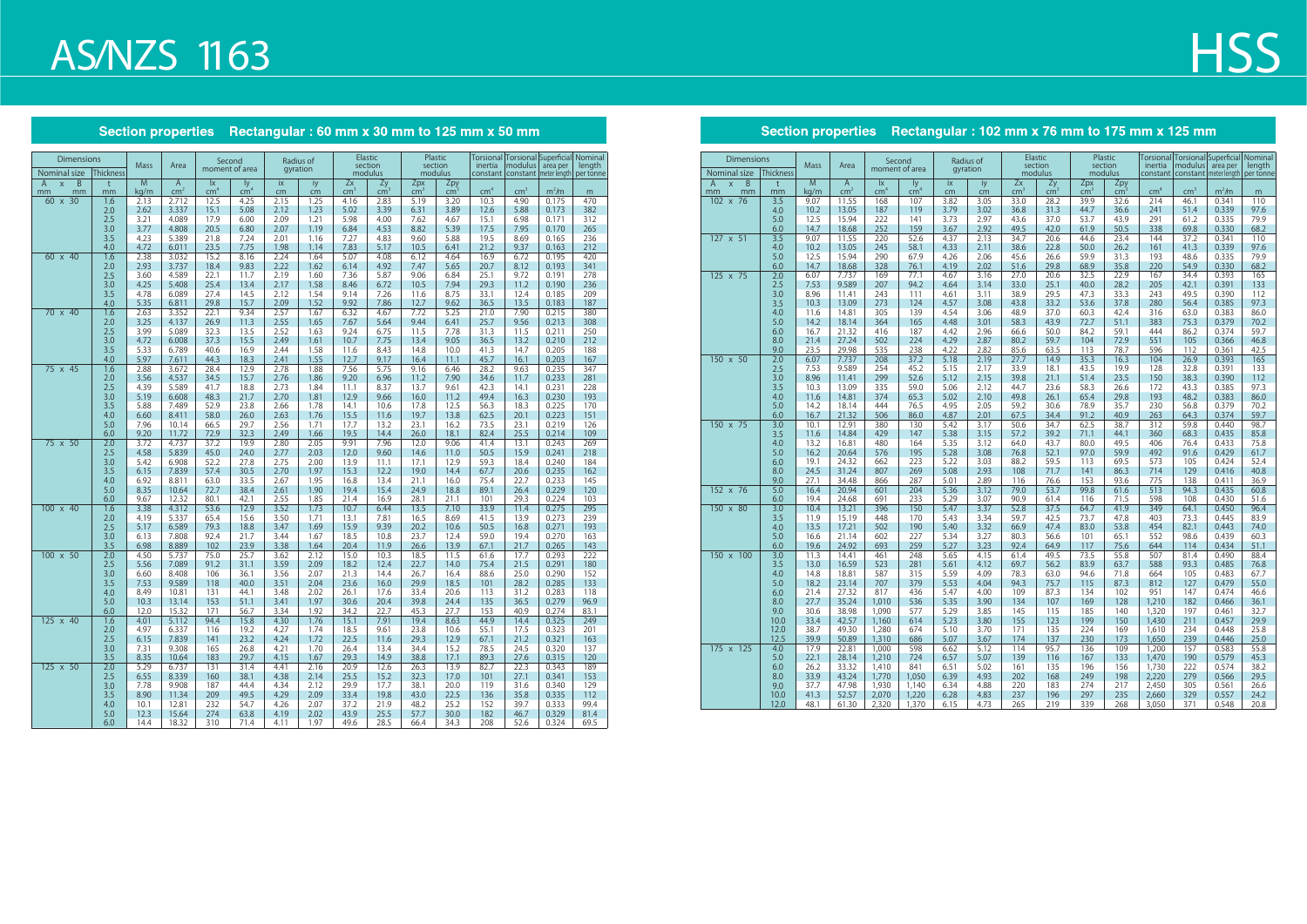## **AS/NZS 1163**

#### Section properties Rectangular: 60 mm x 30 mm to 125 mm x 50 mm

| Dimensions                          |                  |              |                 | Second          |               |              | Radius of    |                 | Elastic            | Plastic            |                         |                 |                                               |                            | Torsional Torsional Superficial  Nominal<br>length |
|-------------------------------------|------------------|--------------|-----------------|-----------------|---------------|--------------|--------------|-----------------|--------------------|--------------------|-------------------------|-----------------|-----------------------------------------------|----------------------------|----------------------------------------------------|
| Nominal size                        | <b>Thickness</b> | <b>Mass</b>  | Area            | moment of area  |               |              | gyration     |                 | section<br>modulus | section<br>modulus |                         | inertia         | modulus<br>constant   constant   meter length | area per                   | per tonne                                          |
| $\overline{B}$<br>A<br>$\mathsf{x}$ | t                | M            | $\mathsf{A}$    | <b>Ix</b>       | ly            | ix           | iy           | Zx              | Zy                 | Zpx                | Zpy                     |                 |                                               |                            |                                                    |
| mm<br>mm                            | mm               | kg/m         | cm <sup>2</sup> | cm <sup>4</sup> | $\text{cm}^4$ | cm<br>2.15   | cm           | cm <sup>2</sup> | cm <sup>3</sup>    | cm <sup>3</sup>    | cm <sup>3</sup><br>3.20 | cm <sup>4</sup> | cm <sup>3</sup>                               | m <sup>2</sup> /m<br>0.175 | m<br>470                                           |
| $60 \times 30$                      | 1.6<br>2.0       | 2.13<br>2.62 | 2.712<br>3.337  | 12.5<br>15.1    | 4.25<br>5.08  | 2.12         | 1.25<br>1.23 | 4.16<br>5.02    | 2.83<br>3.39       | 5.19<br>6.31       | 3.89                    | 10.3<br>12.6    | 4.90<br>5.88                                  | 0.173                      | 382                                                |
|                                     | 2.5              | 3.21         | 4.089           | 17.9            | 6.00          | 2.09         | 1.21         | 5.98            | 4.00               | 7.62               | 4.67                    | 15.1            | 6.98                                          | 0.171                      | 312                                                |
|                                     | 3.0              | 3.77         | 4.808           | 20.5            | 6.80          | 2.07         | 1.19         | 6.84            | 4.53               | 8.82               | 5.39                    | 17.5            | 7.95                                          | 0.170                      | 265                                                |
|                                     | 3.5              | 4.23         | 5.389           | 21.8            | 7.24          | 2.01         | 1.16         | 7.27            | 4.83               | 9.60               | 5.88                    | 19.5            | 8.69                                          | 0.165                      | 236                                                |
|                                     | 4.0              | 4.72         | 6.011           | 23.5            | 7.75          | 1.98         | 1.14         | 7.83            | 5.17               | 10.5               | 6.41                    | 21.2            | 9.37                                          | 0.163                      | 212                                                |
| 60 x 40                             | 1.6              | 2.38         | 3.032           | 15.2            | 8.16          | 2.24         | 1.64         | 5.07            | 4.08               | 6.12               | 4.64                    | 16.9            | 6.72                                          | 0.195                      | 420                                                |
|                                     | 2.0              | 2.93         | 3.737           | 18.4            | 9.83          | 2.22         | 1.62         | 6.14            | 4.92               | 7.47               | 5.65                    | 20.7            | 8.12                                          | 0.193                      | 341                                                |
|                                     | 2.5              | 3.60         | 4.589           | 22.1            | 11.7          | 2.19         | 1.60         | 7.36            | 5.87               | 9.06               | 6.84                    | 25.1            | 9.72                                          | 0.191                      | 278                                                |
|                                     | 3.0              | 4.25         | 5.408           | 25.4            | 13.4          | 2.17         | 1.58         | 8.46            | 6.72               | 10.5               | 7.94                    | 29.3            | 11.2                                          | 0.190                      | 236                                                |
|                                     | 3.5              | 4.78         | 6.089           | 27.4            | 14.5          | 2.12         | 1.54         | 9.14            | 7.26               | 11.6               | 8.75                    | 33.1            | 12.4                                          | 0.185                      | 209                                                |
|                                     | 4.0              | 5.35         | 6.811           | 29.8            | 15.7          | 2.09         | 1.52         | 9.92            | 7.86               | 12.7               | 9.62                    | 36.5            | 13.5                                          | 0.183                      | 187                                                |
| 70 x 40                             | 1.6              | 2.63         | 3.352           | 22.1<br>26.9    | 9.34          | 2.57         | 1.67         | 6.32            | 4.67<br>5.64       | 7.72<br>9.44       | 5.25                    | 21.0            | 7.90                                          | 0.215                      | 380                                                |
|                                     | 2.0<br>2.5       | 3.25<br>3.99 | 4.137<br>5.089  | 32.3            | 11.3<br>13.5  | 2.55<br>2.52 | 1.65<br>1.63 | 7.67<br>9.24    | 6.75               | 11.5               | 6.41<br>7.78            | 25.7<br>31.3    | 9.56<br>11.5                                  | 0.213<br>0.211             | 308<br>250                                         |
|                                     | 3.0              | 4.72         | 6.008           | 37.3            | 15.5          | 2.49         | 1.61         | 10.7            | 7.75               | 13.4               | 9.05                    | 36.5            | 13.2                                          | 0.210                      | 212                                                |
|                                     | 3.5              | 5.33         | 6.789           | 40.6            | 16.9          | 2.44         | 1.58         | 11.6            | 8.43               | 14.8               | 10.0                    | 41.3            | 14.7                                          | 0.205                      | 188                                                |
|                                     | 4.0              | 5.97         | 7.611           | 44.3            | 18.3          | 2.41         | 1.55         | 12.7            | 9.17               | 16.4               | 11.1                    | 45.7            | 16.1                                          | 0.203                      | 167                                                |
| 75 x 45                             | 1.6              | 2.88         | 3.672           | 28.4            | 12.9          | 2.78         | 1.88         | 7.56            | 5.75               | 9.16               | 6.46                    | 28.2            | 9.63                                          | 0.235                      | 347                                                |
|                                     | 2.0              | 3.56         | 4.537           | 34.5            | 15.7          | 2.76         | 1.86         | 9.20            | 6.96               | 11.2               | 7.90                    | 34.6            | 11.7                                          | 0.233                      | 281                                                |
|                                     | 2.5              | 4.39         | 5.589           | 41.7            | 18.8          | 2.73         | 1.84         | 11.1            | 8.37               | 13.7               | 9.61                    | 42.3            | 14.1                                          | 0.231                      | 228                                                |
|                                     | 3.0              | 5.19         | 6.608           | 48.3            | 21.7          | 2.70         | 1.81         | 12.9            | 9.66               | 16.0               | 11.2                    | 49.4            | 16.3                                          | 0.230                      | 193                                                |
|                                     | 3.5              | 5.88         | 7.489           | 52.9            | 23.8          | 2.66         | 1.78         | 14.1            | 10.6               | 17.8               | 12.5                    | 56.3            | 18.3                                          | 0.225                      | 170                                                |
|                                     | 4.0              | 6.60         | 8.411           | 58.0            | 26.0          | 2.63         | 1.76         | 15.5            | 11.6               | 19.7               | 13.8                    | 62.5            | 20.1                                          | 0.223                      | 151                                                |
|                                     | 5.0              | 7.96         | 10.14           | 66.5            | 29.7          | 2.56         | 1.71         | 17.7            | 13.2               | 23.1               | 16.2                    | 73.5            | 23.1                                          | 0.219                      | 126                                                |
|                                     | 6.0              | 9.20         | 11.72           | 72.9            | 32.3          | 2.49         | 1.66         | 19.5            | 14.4               | 26.0               | 18.1                    | 82.4            | 25.5                                          | 0.214                      | 109                                                |
| 75 x 50                             | 2.0              | 3.72         | 4.737           | 37.2            | 19.9          | 2.80         | 2.05         | 9.91            | 7.96               | 12.0               | 9.06                    | 41.4            | 13.1                                          | 0.243                      | 269                                                |
|                                     | 2.5<br>3.0       | 4.58<br>5.42 | 5.839<br>6.908  | 45.0<br>52.2    | 24.0<br>27.8  | 2.77<br>2.75 | 2.03<br>2.00 | 12.0<br>13.9    | 9.60<br>11.1       | 14.6<br>17.1       | 11.0<br>12.9            | 50.5<br>59.3    | 15.9<br>18.4                                  | 0.241<br>0.240             | 218<br>184                                         |
|                                     | 3.5              | 6.15         | 7.839           | 57.4            | 30.5          | 2.70         | 1.97         | 15.3            | 12.2               | 19.0               | 14.4                    | 67.7            | 20.6                                          | 0.235                      | 162                                                |
|                                     | 4.0              | 6.92         | 8.811           | 63.0            | 33.5          | 2.67         | 1.95         | 16.8            | 13.4               | 21.1               | 16.0                    | 75.4            | 22.7                                          | 0.233                      | 145                                                |
|                                     | 5.0              | 8.35         | 10.64           | 72.7            | 38.4          | 2.61         | 1.90         | 19.4            | 15.4               | 24.9               | 18.8                    | 89.1            | 26.4                                          | 0.229                      | 120                                                |
|                                     | 6.0              | 9.67         | 12.32           | 80.1            | 42.1          | 2.55         | 1.85         | 21.4            | 16.9               | 28.1               | 21.1                    | 101             | 29.3                                          | 0.224                      | 103                                                |
| $100 \times 40$                     | 1.6              | 3.38         | 4.312           | 53.6            | 12.9          | 3.52         | 1.73         | 10.7            | 6.44               | 13.5               | 7.10                    | 33.9            | 11.4                                          | 0.275                      | 295                                                |
|                                     | 2.0              | 4.19         | 5.337           | 65.4            | 15.6          | 3.50         | 1.71         | 13.1            | 7.81               | 16.5               | 8.69                    | 41.5            | 13.9                                          | 0.273                      | 239                                                |
|                                     | 2.5              | 5.17         | 6.589           | 79.3            | 18.8          | 3.47         | 1.69         | 15.9            | 9.39               | 20.2               | 10.6                    | 50.5            | 16.8                                          | 0.271                      | 193                                                |
|                                     | 3.0              | 6.13         | 7.808           | 92.4            | 21.7          | 3.44         | 1.67         | 18.5            | 10.8               | 23.7               | 12.4                    | 59.0            | 19.4                                          | 0.270                      | 163                                                |
|                                     | 3.5              | 6.98         | 8.889           | 102             | 23.9          | 3.38         | 1.64         | 20.4            | 11.9               | 26.6               | 13.9                    | 67.1            | 21.7                                          | 0.265                      | 143                                                |
| 100 x 50                            | 2.0              | 4.50         | 5.737           | 75.0            | 25.7          | 3.62         | 2.12         | 15.0            | 10.3               | 18.5               | 11.5                    | 61.6            | 17.7                                          | 0.293                      | 222                                                |
|                                     | 2.5<br>3.0       | 5.56<br>6.60 | 7.089<br>8.408  | 91.2<br>106     | 31.1<br>36.1  | 3.59<br>3.56 | 2.09<br>2.07 | 18.2<br>21.3    | 12.4<br>14.4       | 22.7<br>26.7       | 14.0<br>16.4            | 75.4<br>88.6    | 21.5<br>25.0                                  | 0.291<br>0.290             | 180<br>152                                         |
|                                     | 3.5              | 7.53         | 9.589           | 118             | 40.0          | 3.51         | 2.04         | 23.6            | 16.0               | 29.9               | 18.5                    | 101             | 28.2                                          | 0.285                      | 133                                                |
|                                     | 4.0              | 8.49         | 10.81           | 131             | 44.1          | 3.48         | 2.02         | 26.1            | 17.6               | 33.4               | 20.6                    | 113             | 31.2                                          | 0.283                      | 118                                                |
|                                     | 5.0              | 10.3         | 13.14           | 153             | 51.1          | 3.41         | 1.97         | 30.6            | 20.4               | 39.8               | 24.4                    | 135             | 36.5                                          | 0.279                      | 96.9                                               |
|                                     | 6.0              | 12.0         | 15.32           | 171             | 56.7          | 3.34         | 1.92         | 34.2            | 22.7               | 45.3               | 27.7                    | 153             | 40.9                                          | 0.274                      | 83.1                                               |
| 125 x 40                            | 1.6              | 4.01         | 5.112           | 94.4            | 15.8          | 4.30         | 1.76         | 15.1            | 7.91               | 19.4               | 8.63                    | 44.9            | 14.4                                          | 0.325                      | 249                                                |
|                                     | 2.0              | 4.97         | 6.337           | 116             | 19.2          | 4.27         | 1.74         | 18.5            | 9.61               | 23.8               | 10.6                    | 55.1            | 17.5                                          | 0.323                      | 201                                                |
|                                     | $2.5\,$          | 6.15         | 7.839           | 141             | 23.2          | 4.24         | 1.72         | 22.5            | 11.6               | 29.3               | 12.9                    | 67.1            | 21.2                                          | 0.321                      | 163                                                |
|                                     | 3.0              | 7.31         | 9.308           | 165             | 26.8          | 4.21         | 1.70         | 26.4            | 13.4               | 34.4               | 15.2                    | 78.5            | 24.5                                          | 0.320                      | 137                                                |
|                                     | 3.5              | 8.35         | 10.64           | 183             | 29.7          | 4.15         | 1.67         | 29.3            | 14.9               | 38.8               | 17.1                    | 89.3            | 27.6                                          | 0.315                      | 120                                                |
| $125 \times 50$                     | 2.0              | 5.29         | 6.737           | 131             | 31.4          | 4.41         | 2.16         | 20.9            | 12.6               | 26.3               | 13.9                    | 82.7            | 22.3                                          | 0.343                      | 189                                                |
|                                     | 2.5              | 6.55         | 8.339           | 160             | 38.1          | 4.38         | 2.14         | 25.5            | 15.2               | 32.3               | 17.0                    | 101             | 27.1                                          | 0.341                      | 153                                                |
|                                     | 3.0<br>3.5       | 7.78         | 9.908           | 187             | 44.4          | 4.34         | 2.12         | 29.9            | 17.7               | 38.1               | 20.0                    | 119             | 31.6                                          | 0.340                      | 129                                                |
|                                     | 4.0              | 8.90<br>10.1 | 11.34<br>12.81  | 209<br>232      | 49.5<br>54.7  | 4.29<br>4.26 | 2.09<br>2.07 | 33.4<br>37.2    | 19.8<br>21.9       | 43.0<br>48.2       | 22.5<br>25.2            | 136<br>152      | 35.8<br>39.7                                  | 0.335<br>0.333             | 112<br>99.4                                        |
|                                     | 5.0              | 12.3         | 15.64           | 274             | 63.8          | 4.19         | 2.02         | 43.9            | 25.5               | 57.7               | 30.0                    | 182             | 46.7                                          | 0.329                      | 81.4                                               |
|                                     | 6.0              | 14.4         | 18.32           | 310             | 71.4          | 4.11         | 1.97         | 49.6            | 28.5               | 66.4               | 34.3                    | 208             | 52.6                                          | 0.324                      | 69.5                                               |

### Section properties Rectangular : 102 mm x 76 mm to 175 mm x 125 mm

# **HSS**

| <b>Dimensions</b>                   |                  |              |                 |                         | Second         |              | Radius of    |              | Elastic            |                 | Plastic            |                 |                 | Torsional Torsional Superficial Nominal                    |              |
|-------------------------------------|------------------|--------------|-----------------|-------------------------|----------------|--------------|--------------|--------------|--------------------|-----------------|--------------------|-----------------|-----------------|------------------------------------------------------------|--------------|
| Nominal size                        | <b>Thickness</b> | <b>Mass</b>  | Area            |                         | moment of area | gyration     |              |              | section<br>modulus |                 | section<br>modulus | inertia         | modulus         | area per<br>constant   constant   meter length   per tonne | length       |
| B<br>$\overline{A}$<br>$\mathsf{x}$ | t                | M            | $\overline{A}$  | $\mathsf{I} \mathsf{X}$ | ly             | ix           | iy           | Zx           | Zy                 | Zpx             | Zpy                |                 |                 |                                                            |              |
| mm<br>mm                            | mm               | kg/m         | cm <sup>2</sup> | cm <sup>2</sup>         | $\frac{1}{2}$  | cm           | cm           | cm           | cm <sup>2</sup>    | cm <sup>2</sup> | cm <sup>2</sup>    | cm <sup>4</sup> | cm <sup>3</sup> | m <sup>2</sup> /m                                          | m            |
| 102 x 76                            | 3.5              | 9.07         | 11.55           | 168                     | 107            | 3.82         | 3.05         | 33.0         | 28.2               | 39.9            | 32.6               | 214             | 46.1            | 0.341                                                      | 110          |
|                                     | 4.0              | 10.2         | 13.05           | 187                     | 119            | 3.79         | 3.02         | 36.8         | 31.3               | 44.7            | 36.6               | 241             | 51.4            | 0.339                                                      | 97.6         |
|                                     | 5.0              | 12.5         | 15.94           | 222                     | 141            | 3.73         | 2.97         | 43.6         | 37.0               | 53.7            | 43.9               | 291             | 61.2            | 0.335                                                      | 79.9         |
|                                     | 6.0              | 14.7         | 18.68           | 252                     | 159            | 3.67         | 2.92         | 49.5         | 42.0               | 61.9            | 50.5               | 338             | 69.8            | 0.330                                                      | 68.2         |
| 127 x 51                            | 3.5              | 9.07         | 11.55           | 220                     | 52.6           | 4.37         | 2.13         | 34.7         | 20.6               | 44.6            | 23.4               | 144             | 37.2            | 0.341                                                      | 110          |
|                                     | 4.0<br>5.0       | 10.2         | 13.05           | 245<br>290              | 58.1           | 4.33         | 2.11         | 38.6         | 22.8               | 50.0<br>59.9    | 26.2               | 161<br>193      | 41.3            | 0.339                                                      | 97.6<br>79.9 |
|                                     | 6.0              | 12.5<br>14.7 | 15.94           | 328                     | 67.9<br>76.1   | 4.26<br>4.19 | 2.06         | 45.6<br>51.6 | 26.6<br>29.8       | 68.9            | 31.3               | 220             | 48.6<br>54.9    | 0.335<br>0.330                                             | 68.2         |
| 125 x 75                            | 2.0              | 6.07         | 18.68<br>7.737  | 169                     | 77.1           | 4.67         | 2.02<br>3.16 | 27.0         | 20.6               | 32.5            | 35.8<br>22.9       | 167             | 34.4            | 0.393                                                      | 165          |
|                                     | 2.5              | 7.53         | 9.589           | 207                     | 94.2           | 4.64         | 3.14         | 33.0         | 25.1               | 40.0            | 28.2               | 205             | 42.1            | 0.391                                                      | 133          |
|                                     | 3.0              | 8.96         | 11.41           | 243                     | 111            | 4.61         | 3.11         | 38.9         | 29.5               | 47.3            | 33.3               | 243             | 49.5            | 0.390                                                      | 112          |
|                                     | 3.5              | 10.3         | 13.09           | 273                     | 124            | 4.57         | 3.08         | 43.8         | 33.2               | 53.6            | 37.8               | 280             | 56.4            | 0.385                                                      | 97.3         |
|                                     | 4.0              | 11.6         | 14.81           | 305                     | 139            | 4.54         | 3.06         | 48.9         | 37.0               | 60.3            | 42.4               | 316             | 63.0            | 0.383                                                      | 86.0         |
|                                     | 5.0              | 14.2         | 18.14           | 364                     | 165            | 4.48         | 3.01         | 58.3         | 43.9               | 72.7            | 51.1               | 383             | 75.3            | 0.379                                                      | 70.2         |
|                                     | 6.0              | 16.7         | 21.32           | 416                     | 187            | 4.42         | 2.96         | 66.6         | 50.0               | 84.2            | 59.1               | 444             | 86.2            | 0.374                                                      | 59.7         |
|                                     | 8.0              | 21.4         | 27.24           | 502                     | 224            | 4.29         | 2.87         | 80.2         | 59.7               | 104             | 72.9               | 551             | 105             | 0.366                                                      | 46.8         |
|                                     | 9.0              | 23.5         | 29.98           | 535                     | 238            | 4.22         | 2.82         | 85.6         | 63.5               | 113             | 78.7               | 596             | 112             | 0.361                                                      | 42.5         |
| 150 x 50                            | 2.0              | 6.07         | 7.737           | 208                     | 37.2           | 5.18         | 2.19         | 27.7         | 14.9               | 35.3            | 16.3               | 104             | 26.9            | 0.393                                                      | 165          |
|                                     | 2.5              | 7.53         | 9.589           | 254                     | 45.2           | 5.15         | 2.17         | 33.9         | 18.1               | 43.5            | 19.9               | 128             | 32.8            | 0.391                                                      | 133          |
|                                     | 3.0              | 8.96         | 11.41           | 299                     | 52.6           | 5.12         | 2.15         | 39.8         | 21.1               | 51.4            | 23.5               | 150             | 38.3            | 0.390                                                      | 112          |
|                                     | 3.5              | 10.3         | 13.09           | 335                     | 59.0           | 5.06         | 2.12         | 44.7         | 23.6               | 58.3            | 26.6               | 172             | 43.3            | 0.385                                                      | 97.3         |
|                                     | 4.0              | 11.6         | 14.81           | 374                     | 65.3           | 5.02         | 2.10         | 49.8         | 26.1               | 65.4            | 29.8               | 193             | 48.2            | 0.383                                                      | 86.0         |
|                                     | 5.0              | 14.2         | 18.14           | 444                     | 76.5           | 4.95         | 2.05         | 59.2         | 30.6               | 78.9            | 35.7               | 230             | 56.8            | 0.379                                                      | 70.2         |
|                                     | 6.0              | 16.7<br>10.1 | 21.32<br>12.91  | 506<br>380              | 86.0<br>130    | 4.87<br>5.42 | 2.01<br>3.17 | 67.5<br>50.6 | 34.4<br>34.7       | 91.2            | 40.9<br>38.7       | 263<br>312      | 64.3<br>59.8    | 0.374<br>0.440                                             | 59.7<br>98.7 |
| 150 x 75                            | 3.0<br>3.5       |              | 14.84           | 429                     | 147            | 5.38         | 3.15         | 57.2         | 39.2               | 62.5            | 44.1               | 360             | 68.3            | 0.435                                                      | 85.8         |
|                                     | 4.0              | 11.6<br>13.2 | 16.81           | 480                     | 164            | 5.35         | 3.12         | 64.0         | 43.7               | 71.1<br>80.0    | 49.5               | 406             | 76.4            | 0.433                                                      | 75.8         |
|                                     | 5.0              | 16.2         | 20.64           | 576                     | 195            | 5.28         | 3.08         | 76.8         | 52.1               | 97.0            | 59.9               | 492             | 91.6            | 0.429                                                      | 61.7         |
|                                     | 6.0              | 19.1         | 24.32           | 662                     | 223            | 5.22         | 3.03         | 88.2         | 59.5               | 113             | 69.5               | 573             | 105             | 0.424                                                      | 52.4         |
|                                     | 8.0              | 24.5         | 31.24           | 807                     | 269            | 5.08         | 2.93         | 108          | 71.7               | 141             | 86.3               | 714             | 129             | 0.416                                                      | 40.8         |
|                                     | 9.0              | 27.1         | 34.48           | 866                     | 287            | 5.01         | 2.89         | 116          | 76.6               | 153             | 93.6               | 775             | 138             | 0.411                                                      | 36.9         |
| 152 x 76                            | 5.0              | 16.4         | 20.94           | 601                     | 204            | 5.36         | 3.12         | 79.0         | 53.7               | 99.8            | 61.6               | 513             | 94.3            | 0.435                                                      | 60.8         |
|                                     | 6.0              | 19.4         | 24.68           | 691                     | 233            | 5.29         | 3.07         | 90.9         | 61.4               | 116             | 71.5               | 598             | 108             | 0.430                                                      | 51.6         |
| 150 x 80                            | 3.0              | 10.4         | 13.21           | 396                     | 150            | 5.47         | 3.37         | 52.8         | 37.5               | 64.7            | 41.9               | 349             | 64.1            | 0.450                                                      | 96.4         |
|                                     | 3.5              | 11.9         | 15.19           | 448                     | 170            | 5.43         | 3.34         | 59.7         | 42.5               | 73.7            | 47.8               | 403             | 73.3            | 0.445                                                      | 83.9         |
|                                     | 4.0              | 13.5         | 17.21           | 502                     | 190            | 5.40         | 3.32         | 66.9         | 47.4               | 83.0            | 53.8               | 454             | 82.1            | 0.443                                                      | 74.0         |
|                                     | 5.0              | 16.6         | 21.14           | 602                     | 227            | 5.34         | 3.27         | 80.3         | 56.6               | 101             | 65.1               | 552             | 98.6            | 0.439                                                      | 60.3         |
| 150 x 100                           | 6.0<br>3.0       | 19.6<br>11.3 | 24.92<br>14.41  | 693<br>461              | 259<br>248     | 5.27<br>5.65 | 3.23<br>4.15 | 92.4<br>61.4 | 64.9<br>49.5       | 117<br>73.5     | 75.6<br>55.8       | 644<br>507      | 114<br>81.4     | 0.434<br>0.490                                             | 51.1<br>88.4 |
|                                     | 3.5              | 13.0         | 16.59           | 523                     | 281            | 5.61         | 4.12         | 69.7         | 56.2               | 83.9            | 63.7               | 588             | 93.3            | 0.485                                                      | 76.8         |
|                                     | 4.0              | 14.8         | 18.81           | 587                     | 315            | 5.59         | 4.09         | 78.3         | 63.0               | 94.6            | 71.8               | 664             | 105             | 0.483                                                      | 67.7         |
|                                     | 5.0              | 18.2         | 23.14           | 707                     | 379            | 5.53         | 4.04         | 94.3         | 75.7               | 115             | 87.3               | 812             | 127             | 0.479                                                      | 55.0         |
|                                     | 6.0              | 21.4         | 27.32           | 817                     | 436            | 5.47         | 4.00         | 109          | 87.3               | 134             | 102                | 951             | 147             | 0.474                                                      | 46.6         |
|                                     | 8.0              | 27.7         | 35.24           | 1,010                   | 536            | 5.35         | 3.90         | 134          | 107                | 169             | 128                | 1,210           | 182             | 0.466                                                      | 36.1         |
|                                     | 9.0              | 30.6         | 38.98           | 1.090                   | 577            | 5.29         | 3.85         | 145          | 115                | 185             | 140                | 1,320           | 197             | 0.461                                                      | 32.7         |
|                                     | 10.0             | 33.4         | 42.57           | 1,160                   | 614            | 5.23         | 3.80         | 155          | 123                | 199             | 150                | 1,430           | 211             | 0.457                                                      | 29.9         |
|                                     | 12.0             | 38.7         | 49.30           | 1,280                   | 674            | 5.10         | 3.70         | 171          | 135                | 224             | 169                | 1,610           | 234             | 0.448                                                      | 25.8         |
|                                     | 12.5             | 39.9         | 50.89           | 1,310                   | 686            | 5.07         | 3.67         | 174          | 137                | 230             | 173                | 1,650           | 239             | 0.446                                                      | 25.0         |
| 175 x 125                           | 4.0              | 17.9         | 22.81           | 1,000                   | 598            | 6.62         | 5.12         | 114          | 95.7               | 136             | 109                | 1,200           | 157             | 0.583                                                      | 55.8         |
|                                     | 5.0              | 22.1         | 28.14           | 1,210                   | 724            | 6.57         | 5.07         | 139          | 116                | 167             | 133                | 1,470           | 190             | 0.579                                                      | 45.3         |
|                                     | 6.0              | 26.2         | 33.32           | 1,410                   | 841            | 6.51         | 5.02         | 161          | 135                | 196             | 156                | 1,730           | 222             | 0.574                                                      | 38.2         |
|                                     | 8.0              | 33.9         | 43.24           | 1,770                   | 1,050          | 6.39         | 4.93         | 202          | 168                | 249             | 198                | 2,220           | 279             | 0.566                                                      | 29.5         |
|                                     | 9.0              | 37.7         | 47.98           | 1,930                   | 1,140          | 6.34         | 4.88         | 220          | 183                | 274             | 217                | 2,450           | 305             | 0.561                                                      | 26.6         |
|                                     | 10.0             | 41.3         | 52.57           | 2,070                   | 1,220          | 6.28         | 4.83         | 237          | 196                | 297             | 235                | 2,660           | 329             | 0.557                                                      | 24.2         |
|                                     | 12.0             | 48.1         | 61.30           | 2,320                   | 1,370          | 6.15         | 4.73         | 265          | 219                | 339             | 268                | 3,050           | 371             | 0.548                                                      | 20.8         |